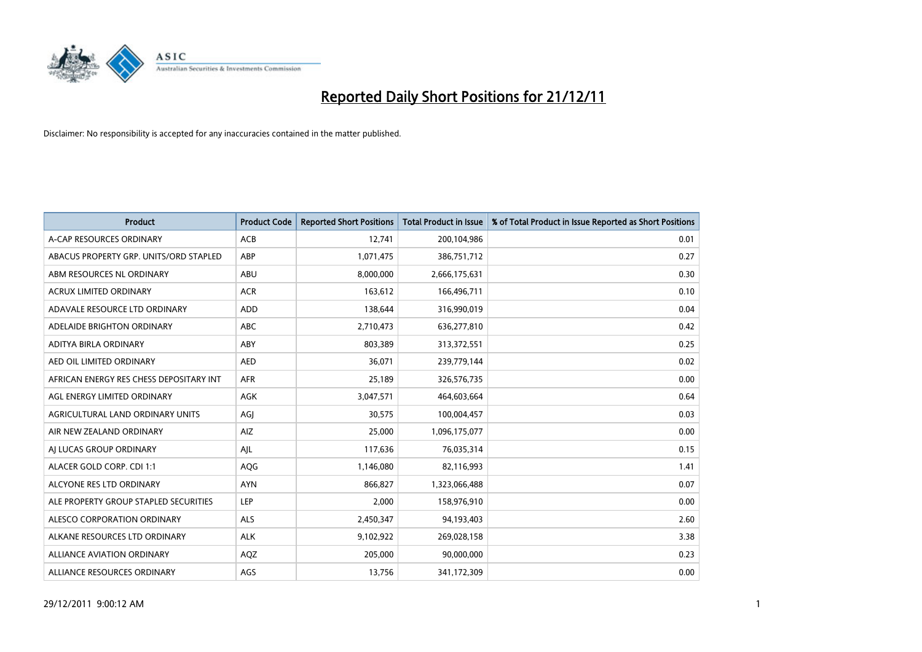

| <b>Product</b>                          | <b>Product Code</b> | <b>Reported Short Positions</b> | <b>Total Product in Issue</b> | % of Total Product in Issue Reported as Short Positions |
|-----------------------------------------|---------------------|---------------------------------|-------------------------------|---------------------------------------------------------|
| A-CAP RESOURCES ORDINARY                | ACB                 | 12,741                          | 200,104,986                   | 0.01                                                    |
| ABACUS PROPERTY GRP. UNITS/ORD STAPLED  | ABP                 | 1,071,475                       | 386,751,712                   | 0.27                                                    |
| ABM RESOURCES NL ORDINARY               | ABU                 | 8,000,000                       | 2,666,175,631                 | 0.30                                                    |
| ACRUX LIMITED ORDINARY                  | <b>ACR</b>          | 163,612                         | 166,496,711                   | 0.10                                                    |
| ADAVALE RESOURCE LTD ORDINARY           | ADD                 | 138.644                         | 316,990,019                   | 0.04                                                    |
| ADELAIDE BRIGHTON ORDINARY              | <b>ABC</b>          | 2,710,473                       | 636,277,810                   | 0.42                                                    |
| ADITYA BIRLA ORDINARY                   | ABY                 | 803.389                         | 313,372,551                   | 0.25                                                    |
| AED OIL LIMITED ORDINARY                | <b>AED</b>          | 36,071                          | 239,779,144                   | 0.02                                                    |
| AFRICAN ENERGY RES CHESS DEPOSITARY INT | <b>AFR</b>          | 25,189                          | 326,576,735                   | 0.00                                                    |
| AGL ENERGY LIMITED ORDINARY             | <b>AGK</b>          | 3,047,571                       | 464,603,664                   | 0.64                                                    |
| AGRICULTURAL LAND ORDINARY UNITS        | AGJ                 | 30,575                          | 100,004,457                   | 0.03                                                    |
| AIR NEW ZEALAND ORDINARY                | AIZ                 | 25,000                          | 1,096,175,077                 | 0.00                                                    |
| AI LUCAS GROUP ORDINARY                 | AJL                 | 117,636                         | 76,035,314                    | 0.15                                                    |
| ALACER GOLD CORP. CDI 1:1               | AQG                 | 1,146,080                       | 82,116,993                    | 1.41                                                    |
| ALCYONE RES LTD ORDINARY                | <b>AYN</b>          | 866,827                         | 1,323,066,488                 | 0.07                                                    |
| ALE PROPERTY GROUP STAPLED SECURITIES   | <b>LEP</b>          | 2,000                           | 158,976,910                   | 0.00                                                    |
| ALESCO CORPORATION ORDINARY             | <b>ALS</b>          | 2,450,347                       | 94,193,403                    | 2.60                                                    |
| ALKANE RESOURCES LTD ORDINARY           | <b>ALK</b>          | 9,102,922                       | 269,028,158                   | 3.38                                                    |
| <b>ALLIANCE AVIATION ORDINARY</b>       | AQZ                 | 205,000                         | 90,000,000                    | 0.23                                                    |
| ALLIANCE RESOURCES ORDINARY             | AGS                 | 13,756                          | 341,172,309                   | 0.00                                                    |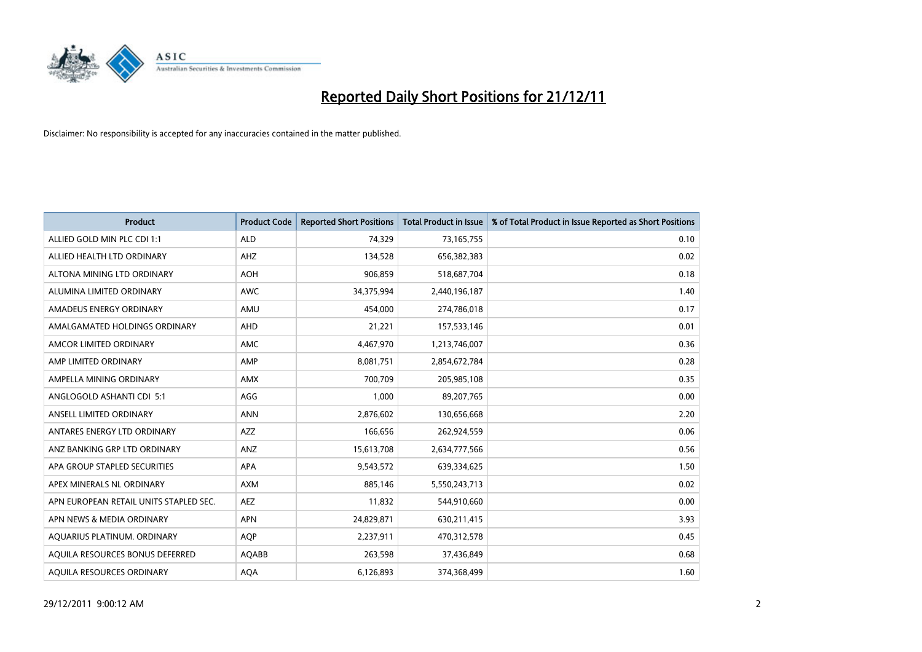

| <b>Product</b>                         | <b>Product Code</b> | <b>Reported Short Positions</b> | <b>Total Product in Issue</b> | % of Total Product in Issue Reported as Short Positions |
|----------------------------------------|---------------------|---------------------------------|-------------------------------|---------------------------------------------------------|
| ALLIED GOLD MIN PLC CDI 1:1            | <b>ALD</b>          | 74,329                          | 73,165,755                    | 0.10                                                    |
| ALLIED HEALTH LTD ORDINARY             | AHZ                 | 134,528                         | 656,382,383                   | 0.02                                                    |
| ALTONA MINING LTD ORDINARY             | <b>AOH</b>          | 906,859                         | 518,687,704                   | 0.18                                                    |
| ALUMINA LIMITED ORDINARY               | <b>AWC</b>          | 34,375,994                      | 2,440,196,187                 | 1.40                                                    |
| AMADEUS ENERGY ORDINARY                | AMU                 | 454,000                         | 274,786,018                   | 0.17                                                    |
| AMALGAMATED HOLDINGS ORDINARY          | <b>AHD</b>          | 21,221                          | 157,533,146                   | 0.01                                                    |
| AMCOR LIMITED ORDINARY                 | <b>AMC</b>          | 4,467,970                       | 1,213,746,007                 | 0.36                                                    |
| AMP LIMITED ORDINARY                   | AMP                 | 8,081,751                       | 2,854,672,784                 | 0.28                                                    |
| AMPELLA MINING ORDINARY                | <b>AMX</b>          | 700,709                         | 205,985,108                   | 0.35                                                    |
| ANGLOGOLD ASHANTI CDI 5:1              | AGG                 | 1,000                           | 89,207,765                    | 0.00                                                    |
| ANSELL LIMITED ORDINARY                | <b>ANN</b>          | 2,876,602                       | 130,656,668                   | 2.20                                                    |
| ANTARES ENERGY LTD ORDINARY            | <b>AZZ</b>          | 166,656                         | 262,924,559                   | 0.06                                                    |
| ANZ BANKING GRP LTD ORDINARY           | ANZ                 | 15,613,708                      | 2,634,777,566                 | 0.56                                                    |
| APA GROUP STAPLED SECURITIES           | <b>APA</b>          | 9,543,572                       | 639,334,625                   | 1.50                                                    |
| APEX MINERALS NL ORDINARY              | <b>AXM</b>          | 885,146                         | 5,550,243,713                 | 0.02                                                    |
| APN EUROPEAN RETAIL UNITS STAPLED SEC. | AEZ                 | 11,832                          | 544,910,660                   | 0.00                                                    |
| APN NEWS & MEDIA ORDINARY              | <b>APN</b>          | 24,829,871                      | 630,211,415                   | 3.93                                                    |
| AQUARIUS PLATINUM. ORDINARY            | <b>AQP</b>          | 2,237,911                       | 470,312,578                   | 0.45                                                    |
| AQUILA RESOURCES BONUS DEFERRED        | <b>AQABB</b>        | 263,598                         | 37,436,849                    | 0.68                                                    |
| AOUILA RESOURCES ORDINARY              | <b>AQA</b>          | 6,126,893                       | 374.368.499                   | 1.60                                                    |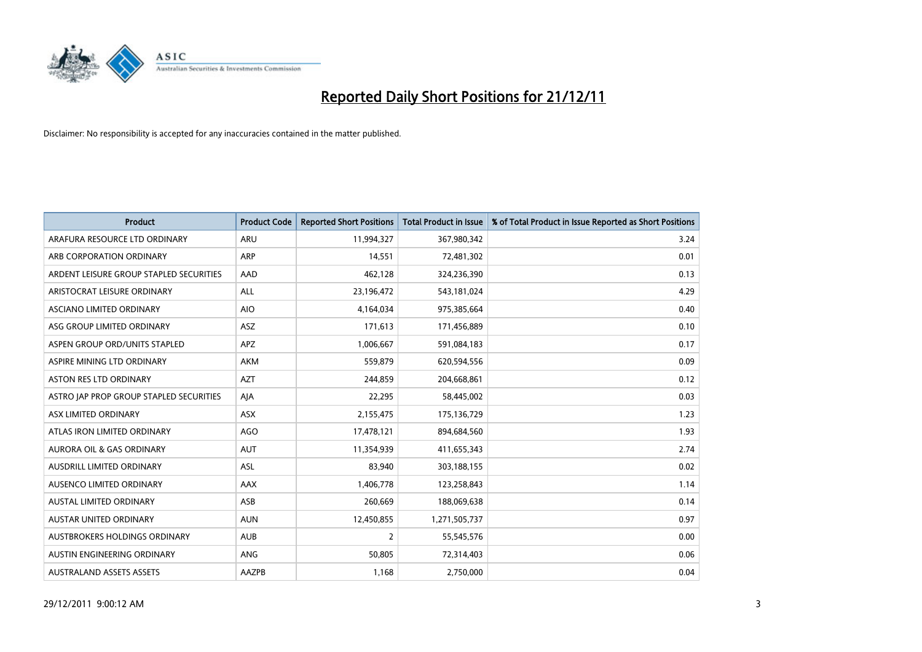

| <b>Product</b>                          | <b>Product Code</b> | <b>Reported Short Positions</b> | <b>Total Product in Issue</b> | % of Total Product in Issue Reported as Short Positions |
|-----------------------------------------|---------------------|---------------------------------|-------------------------------|---------------------------------------------------------|
| ARAFURA RESOURCE LTD ORDINARY           | <b>ARU</b>          | 11,994,327                      | 367,980,342                   | 3.24                                                    |
| ARB CORPORATION ORDINARY                | <b>ARP</b>          | 14,551                          | 72,481,302                    | 0.01                                                    |
| ARDENT LEISURE GROUP STAPLED SECURITIES | AAD                 | 462,128                         | 324,236,390                   | 0.13                                                    |
| ARISTOCRAT LEISURE ORDINARY             | ALL                 | 23,196,472                      | 543,181,024                   | 4.29                                                    |
| ASCIANO LIMITED ORDINARY                | <b>AIO</b>          | 4,164,034                       | 975,385,664                   | 0.40                                                    |
| ASG GROUP LIMITED ORDINARY              | <b>ASZ</b>          | 171,613                         | 171,456,889                   | 0.10                                                    |
| ASPEN GROUP ORD/UNITS STAPLED           | <b>APZ</b>          | 1,006,667                       | 591,084,183                   | 0.17                                                    |
| ASPIRE MINING LTD ORDINARY              | <b>AKM</b>          | 559,879                         | 620,594,556                   | 0.09                                                    |
| <b>ASTON RES LTD ORDINARY</b>           | <b>AZT</b>          | 244,859                         | 204,668,861                   | 0.12                                                    |
| ASTRO JAP PROP GROUP STAPLED SECURITIES | AIA                 | 22,295                          | 58,445,002                    | 0.03                                                    |
| ASX LIMITED ORDINARY                    | ASX                 | 2,155,475                       | 175,136,729                   | 1.23                                                    |
| ATLAS IRON LIMITED ORDINARY             | AGO                 | 17,478,121                      | 894,684,560                   | 1.93                                                    |
| AURORA OIL & GAS ORDINARY               | <b>AUT</b>          | 11,354,939                      | 411,655,343                   | 2.74                                                    |
| AUSDRILL LIMITED ORDINARY               | ASL                 | 83,940                          | 303,188,155                   | 0.02                                                    |
| AUSENCO LIMITED ORDINARY                | <b>AAX</b>          | 1,406,778                       | 123,258,843                   | 1.14                                                    |
| AUSTAL LIMITED ORDINARY                 | ASB                 | 260,669                         | 188,069,638                   | 0.14                                                    |
| AUSTAR UNITED ORDINARY                  | <b>AUN</b>          | 12,450,855                      | 1,271,505,737                 | 0.97                                                    |
| AUSTBROKERS HOLDINGS ORDINARY           | <b>AUB</b>          | 2                               | 55,545,576                    | 0.00                                                    |
| AUSTIN ENGINEERING ORDINARY             | <b>ANG</b>          | 50,805                          | 72,314,403                    | 0.06                                                    |
| <b>AUSTRALAND ASSETS ASSETS</b>         | AAZPB               | 1,168                           | 2,750,000                     | 0.04                                                    |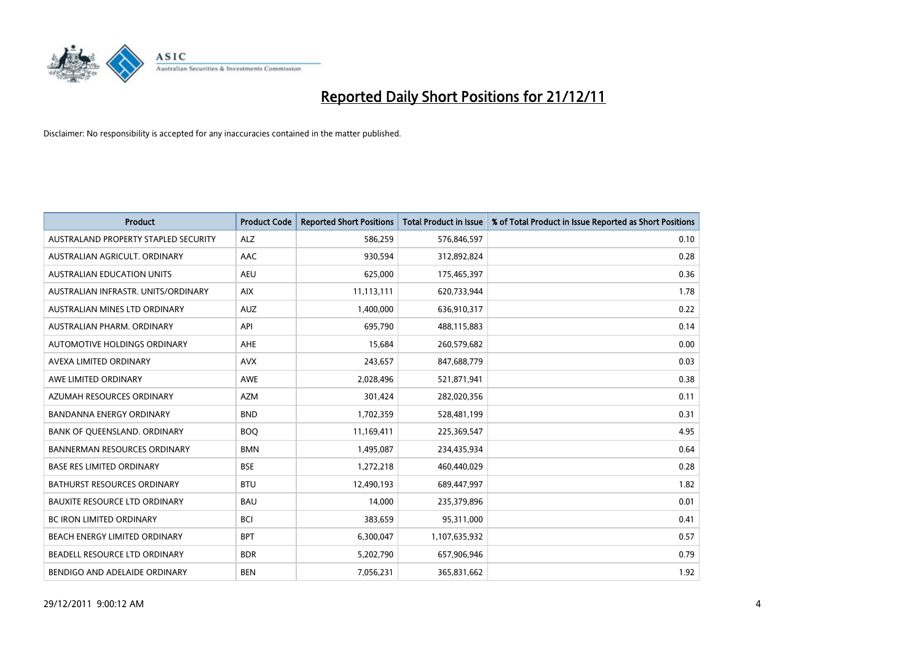

| <b>Product</b>                       | <b>Product Code</b> | <b>Reported Short Positions</b> | <b>Total Product in Issue</b> | % of Total Product in Issue Reported as Short Positions |
|--------------------------------------|---------------------|---------------------------------|-------------------------------|---------------------------------------------------------|
| AUSTRALAND PROPERTY STAPLED SECURITY | <b>ALZ</b>          | 586,259                         | 576,846,597                   | 0.10                                                    |
| AUSTRALIAN AGRICULT. ORDINARY        | AAC                 | 930,594                         | 312,892,824                   | 0.28                                                    |
| <b>AUSTRALIAN EDUCATION UNITS</b>    | <b>AEU</b>          | 625,000                         | 175,465,397                   | 0.36                                                    |
| AUSTRALIAN INFRASTR. UNITS/ORDINARY  | <b>AIX</b>          | 11,113,111                      | 620,733,944                   | 1.78                                                    |
| AUSTRALIAN MINES LTD ORDINARY        | <b>AUZ</b>          | 1,400,000                       | 636,910,317                   | 0.22                                                    |
| AUSTRALIAN PHARM, ORDINARY           | API                 | 695,790                         | 488,115,883                   | 0.14                                                    |
| AUTOMOTIVE HOLDINGS ORDINARY         | <b>AHE</b>          | 15,684                          | 260,579,682                   | 0.00                                                    |
| AVEXA LIMITED ORDINARY               | <b>AVX</b>          | 243,657                         | 847,688,779                   | 0.03                                                    |
| AWE LIMITED ORDINARY                 | <b>AWE</b>          | 2,028,496                       | 521,871,941                   | 0.38                                                    |
| AZUMAH RESOURCES ORDINARY            | <b>AZM</b>          | 301,424                         | 282,020,356                   | 0.11                                                    |
| BANDANNA ENERGY ORDINARY             | <b>BND</b>          | 1,702,359                       | 528,481,199                   | 0.31                                                    |
| BANK OF QUEENSLAND. ORDINARY         | <b>BOQ</b>          | 11,169,411                      | 225,369,547                   | 4.95                                                    |
| <b>BANNERMAN RESOURCES ORDINARY</b>  | <b>BMN</b>          | 1,495,087                       | 234,435,934                   | 0.64                                                    |
| <b>BASE RES LIMITED ORDINARY</b>     | <b>BSE</b>          | 1,272,218                       | 460,440,029                   | 0.28                                                    |
| <b>BATHURST RESOURCES ORDINARY</b>   | <b>BTU</b>          | 12,490,193                      | 689,447,997                   | 1.82                                                    |
| BAUXITE RESOURCE LTD ORDINARY        | <b>BAU</b>          | 14,000                          | 235,379,896                   | 0.01                                                    |
| <b>BC IRON LIMITED ORDINARY</b>      | <b>BCI</b>          | 383,659                         | 95,311,000                    | 0.41                                                    |
| BEACH ENERGY LIMITED ORDINARY        | <b>BPT</b>          | 6,300,047                       | 1,107,635,932                 | 0.57                                                    |
| BEADELL RESOURCE LTD ORDINARY        | <b>BDR</b>          | 5,202,790                       | 657,906,946                   | 0.79                                                    |
| BENDIGO AND ADELAIDE ORDINARY        | <b>BEN</b>          | 7,056,231                       | 365,831,662                   | 1.92                                                    |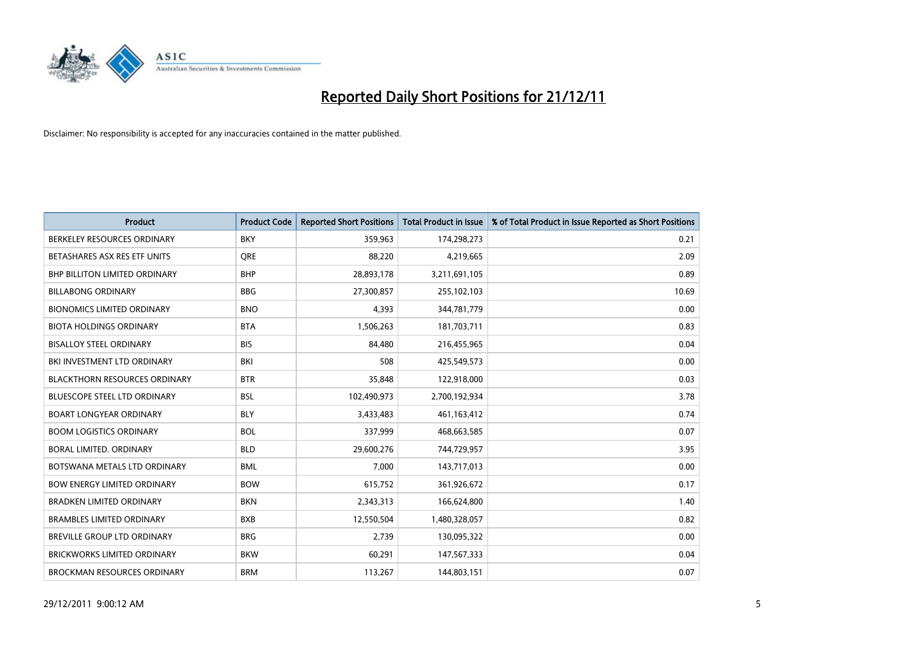

| <b>Product</b>                       | <b>Product Code</b> | <b>Reported Short Positions</b> | <b>Total Product in Issue</b> | % of Total Product in Issue Reported as Short Positions |
|--------------------------------------|---------------------|---------------------------------|-------------------------------|---------------------------------------------------------|
| BERKELEY RESOURCES ORDINARY          | <b>BKY</b>          | 359,963                         | 174,298,273                   | 0.21                                                    |
| BETASHARES ASX RES ETF UNITS         | <b>ORE</b>          | 88,220                          | 4,219,665                     | 2.09                                                    |
| <b>BHP BILLITON LIMITED ORDINARY</b> | <b>BHP</b>          | 28,893,178                      | 3,211,691,105                 | 0.89                                                    |
| <b>BILLABONG ORDINARY</b>            | <b>BBG</b>          | 27,300,857                      | 255,102,103                   | 10.69                                                   |
| <b>BIONOMICS LIMITED ORDINARY</b>    | <b>BNO</b>          | 4,393                           | 344,781,779                   | 0.00                                                    |
| <b>BIOTA HOLDINGS ORDINARY</b>       | <b>BTA</b>          | 1,506,263                       | 181,703,711                   | 0.83                                                    |
| <b>BISALLOY STEEL ORDINARY</b>       | <b>BIS</b>          | 84.480                          | 216,455,965                   | 0.04                                                    |
| BKI INVESTMENT LTD ORDINARY          | <b>BKI</b>          | 508                             | 425,549,573                   | 0.00                                                    |
| <b>BLACKTHORN RESOURCES ORDINARY</b> | <b>BTR</b>          | 35,848                          | 122,918,000                   | 0.03                                                    |
| <b>BLUESCOPE STEEL LTD ORDINARY</b>  | <b>BSL</b>          | 102,490,973                     | 2,700,192,934                 | 3.78                                                    |
| <b>BOART LONGYEAR ORDINARY</b>       | <b>BLY</b>          | 3,433,483                       | 461,163,412                   | 0.74                                                    |
| <b>BOOM LOGISTICS ORDINARY</b>       | <b>BOL</b>          | 337,999                         | 468,663,585                   | 0.07                                                    |
| BORAL LIMITED, ORDINARY              | <b>BLD</b>          | 29,600,276                      | 744,729,957                   | 3.95                                                    |
| BOTSWANA METALS LTD ORDINARY         | <b>BML</b>          | 7,000                           | 143,717,013                   | 0.00                                                    |
| <b>BOW ENERGY LIMITED ORDINARY</b>   | <b>BOW</b>          | 615,752                         | 361,926,672                   | 0.17                                                    |
| <b>BRADKEN LIMITED ORDINARY</b>      | <b>BKN</b>          | 2,343,313                       | 166,624,800                   | 1.40                                                    |
| <b>BRAMBLES LIMITED ORDINARY</b>     | <b>BXB</b>          | 12,550,504                      | 1,480,328,057                 | 0.82                                                    |
| BREVILLE GROUP LTD ORDINARY          | <b>BRG</b>          | 2,739                           | 130,095,322                   | 0.00                                                    |
| <b>BRICKWORKS LIMITED ORDINARY</b>   | <b>BKW</b>          | 60,291                          | 147,567,333                   | 0.04                                                    |
| <b>BROCKMAN RESOURCES ORDINARY</b>   | <b>BRM</b>          | 113,267                         | 144,803,151                   | 0.07                                                    |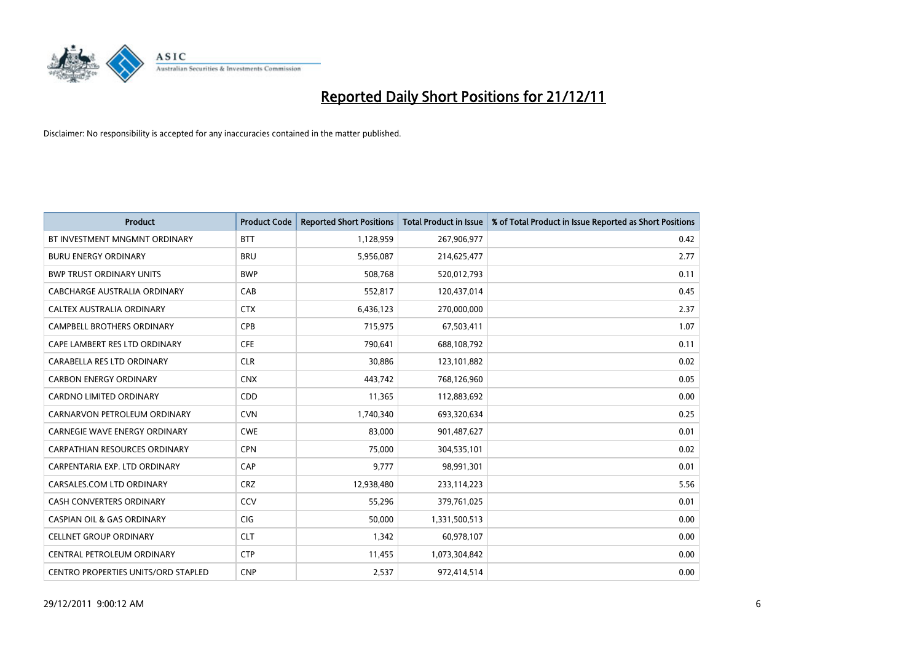

| <b>Product</b>                             | <b>Product Code</b> | <b>Reported Short Positions</b> | <b>Total Product in Issue</b> | % of Total Product in Issue Reported as Short Positions |
|--------------------------------------------|---------------------|---------------------------------|-------------------------------|---------------------------------------------------------|
| BT INVESTMENT MNGMNT ORDINARY              | <b>BTT</b>          | 1,128,959                       | 267,906,977                   | 0.42                                                    |
| <b>BURU ENERGY ORDINARY</b>                | <b>BRU</b>          | 5,956,087                       | 214,625,477                   | 2.77                                                    |
| <b>BWP TRUST ORDINARY UNITS</b>            | <b>BWP</b>          | 508,768                         | 520,012,793                   | 0.11                                                    |
| CABCHARGE AUSTRALIA ORDINARY               | CAB                 | 552,817                         | 120,437,014                   | 0.45                                                    |
| CALTEX AUSTRALIA ORDINARY                  | <b>CTX</b>          | 6,436,123                       | 270,000,000                   | 2.37                                                    |
| <b>CAMPBELL BROTHERS ORDINARY</b>          | CPB                 | 715,975                         | 67,503,411                    | 1.07                                                    |
| CAPE LAMBERT RES LTD ORDINARY              | <b>CFE</b>          | 790.641                         | 688,108,792                   | 0.11                                                    |
| CARABELLA RES LTD ORDINARY                 | <b>CLR</b>          | 30,886                          | 123,101,882                   | 0.02                                                    |
| <b>CARBON ENERGY ORDINARY</b>              | <b>CNX</b>          | 443,742                         | 768,126,960                   | 0.05                                                    |
| <b>CARDNO LIMITED ORDINARY</b>             | <b>CDD</b>          | 11,365                          | 112,883,692                   | 0.00                                                    |
| CARNARVON PETROLEUM ORDINARY               | <b>CVN</b>          | 1,740,340                       | 693,320,634                   | 0.25                                                    |
| <b>CARNEGIE WAVE ENERGY ORDINARY</b>       | <b>CWE</b>          | 83,000                          | 901,487,627                   | 0.01                                                    |
| <b>CARPATHIAN RESOURCES ORDINARY</b>       | <b>CPN</b>          | 75,000                          | 304,535,101                   | 0.02                                                    |
| CARPENTARIA EXP. LTD ORDINARY              | CAP                 | 9,777                           | 98,991,301                    | 0.01                                                    |
| CARSALES.COM LTD ORDINARY                  | <b>CRZ</b>          | 12,938,480                      | 233,114,223                   | 5.56                                                    |
| CASH CONVERTERS ORDINARY                   | CCV                 | 55,296                          | 379,761,025                   | 0.01                                                    |
| <b>CASPIAN OIL &amp; GAS ORDINARY</b>      | <b>CIG</b>          | 50,000                          | 1,331,500,513                 | 0.00                                                    |
| <b>CELLNET GROUP ORDINARY</b>              | <b>CLT</b>          | 1,342                           | 60,978,107                    | 0.00                                                    |
| CENTRAL PETROLEUM ORDINARY                 | <b>CTP</b>          | 11,455                          | 1,073,304,842                 | 0.00                                                    |
| <b>CENTRO PROPERTIES UNITS/ORD STAPLED</b> | <b>CNP</b>          | 2,537                           | 972,414,514                   | 0.00                                                    |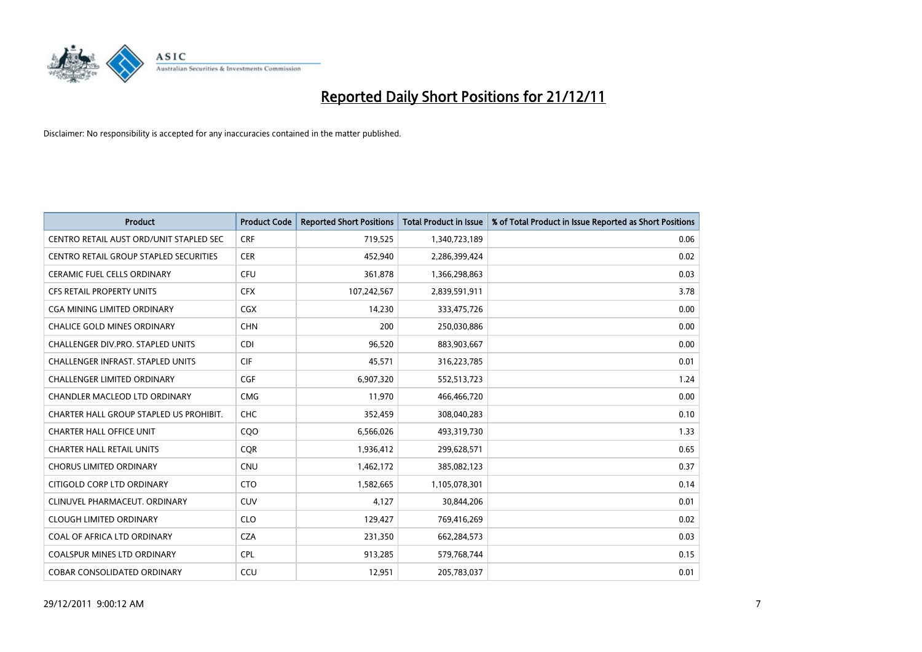

| <b>Product</b>                           | <b>Product Code</b> | <b>Reported Short Positions</b> | <b>Total Product in Issue</b> | % of Total Product in Issue Reported as Short Positions |
|------------------------------------------|---------------------|---------------------------------|-------------------------------|---------------------------------------------------------|
| CENTRO RETAIL AUST ORD/UNIT STAPLED SEC  | <b>CRF</b>          | 719,525                         | 1,340,723,189                 | 0.06                                                    |
| CENTRO RETAIL GROUP STAPLED SECURITIES   | <b>CER</b>          | 452,940                         | 2,286,399,424                 | 0.02                                                    |
| <b>CERAMIC FUEL CELLS ORDINARY</b>       | <b>CFU</b>          | 361,878                         | 1,366,298,863                 | 0.03                                                    |
| CFS RETAIL PROPERTY UNITS                | <b>CFX</b>          | 107,242,567                     | 2,839,591,911                 | 3.78                                                    |
| CGA MINING LIMITED ORDINARY              | <b>CGX</b>          | 14,230                          | 333,475,726                   | 0.00                                                    |
| <b>CHALICE GOLD MINES ORDINARY</b>       | <b>CHN</b>          | 200                             | 250,030,886                   | 0.00                                                    |
| CHALLENGER DIV.PRO. STAPLED UNITS        | <b>CDI</b>          | 96,520                          | 883,903,667                   | 0.00                                                    |
| <b>CHALLENGER INFRAST, STAPLED UNITS</b> | <b>CIF</b>          | 45,571                          | 316,223,785                   | 0.01                                                    |
| CHALLENGER LIMITED ORDINARY              | <b>CGF</b>          | 6,907,320                       | 552,513,723                   | 1.24                                                    |
| CHANDLER MACLEOD LTD ORDINARY            | <b>CMG</b>          | 11,970                          | 466,466,720                   | 0.00                                                    |
| CHARTER HALL GROUP STAPLED US PROHIBIT.  | <b>CHC</b>          | 352,459                         | 308,040,283                   | 0.10                                                    |
| <b>CHARTER HALL OFFICE UNIT</b>          | CQ <sub>O</sub>     | 6,566,026                       | 493,319,730                   | 1.33                                                    |
| <b>CHARTER HALL RETAIL UNITS</b>         | <b>CQR</b>          | 1,936,412                       | 299,628,571                   | 0.65                                                    |
| <b>CHORUS LIMITED ORDINARY</b>           | <b>CNU</b>          | 1,462,172                       | 385,082,123                   | 0.37                                                    |
| CITIGOLD CORP LTD ORDINARY               | <b>CTO</b>          | 1,582,665                       | 1,105,078,301                 | 0.14                                                    |
| CLINUVEL PHARMACEUT. ORDINARY            | <b>CUV</b>          | 4,127                           | 30,844,206                    | 0.01                                                    |
| <b>CLOUGH LIMITED ORDINARY</b>           | <b>CLO</b>          | 129,427                         | 769,416,269                   | 0.02                                                    |
| COAL OF AFRICA LTD ORDINARY              | <b>CZA</b>          | 231,350                         | 662,284,573                   | 0.03                                                    |
| <b>COALSPUR MINES LTD ORDINARY</b>       | <b>CPL</b>          | 913,285                         | 579,768,744                   | 0.15                                                    |
| <b>COBAR CONSOLIDATED ORDINARY</b>       | CCU                 | 12,951                          | 205,783,037                   | 0.01                                                    |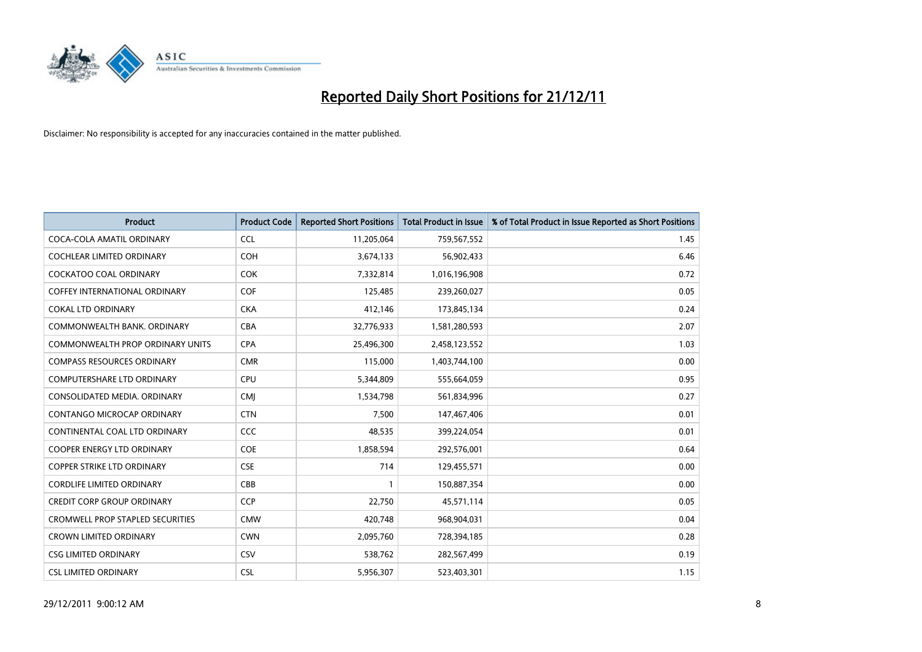

| <b>Product</b>                          | <b>Product Code</b> | <b>Reported Short Positions</b> | <b>Total Product in Issue</b> | % of Total Product in Issue Reported as Short Positions |
|-----------------------------------------|---------------------|---------------------------------|-------------------------------|---------------------------------------------------------|
| COCA-COLA AMATIL ORDINARY               | <b>CCL</b>          | 11,205,064                      | 759,567,552                   | 1.45                                                    |
| COCHLEAR LIMITED ORDINARY               | <b>COH</b>          | 3,674,133                       | 56,902,433                    | 6.46                                                    |
| <b>COCKATOO COAL ORDINARY</b>           | <b>COK</b>          | 7,332,814                       | 1,016,196,908                 | 0.72                                                    |
| COFFEY INTERNATIONAL ORDINARY           | <b>COF</b>          | 125,485                         | 239,260,027                   | 0.05                                                    |
| <b>COKAL LTD ORDINARY</b>               | <b>CKA</b>          | 412,146                         | 173,845,134                   | 0.24                                                    |
| COMMONWEALTH BANK, ORDINARY             | <b>CBA</b>          | 32,776,933                      | 1,581,280,593                 | 2.07                                                    |
| COMMONWEALTH PROP ORDINARY UNITS        | <b>CPA</b>          | 25,496,300                      | 2,458,123,552                 | 1.03                                                    |
| <b>COMPASS RESOURCES ORDINARY</b>       | <b>CMR</b>          | 115,000                         | 1,403,744,100                 | 0.00                                                    |
| COMPUTERSHARE LTD ORDINARY              | <b>CPU</b>          | 5,344,809                       | 555,664,059                   | 0.95                                                    |
| CONSOLIDATED MEDIA, ORDINARY            | <b>CMI</b>          | 1,534,798                       | 561,834,996                   | 0.27                                                    |
| CONTANGO MICROCAP ORDINARY              | <b>CTN</b>          | 7,500                           | 147,467,406                   | 0.01                                                    |
| CONTINENTAL COAL LTD ORDINARY           | CCC                 | 48,535                          | 399,224,054                   | 0.01                                                    |
| COOPER ENERGY LTD ORDINARY              | <b>COE</b>          | 1,858,594                       | 292,576,001                   | 0.64                                                    |
| <b>COPPER STRIKE LTD ORDINARY</b>       | <b>CSE</b>          | 714                             | 129,455,571                   | 0.00                                                    |
| <b>CORDLIFE LIMITED ORDINARY</b>        | CBB                 |                                 | 150,887,354                   | 0.00                                                    |
| CREDIT CORP GROUP ORDINARY              | <b>CCP</b>          | 22,750                          | 45,571,114                    | 0.05                                                    |
| <b>CROMWELL PROP STAPLED SECURITIES</b> | <b>CMW</b>          | 420,748                         | 968,904,031                   | 0.04                                                    |
| <b>CROWN LIMITED ORDINARY</b>           | <b>CWN</b>          | 2,095,760                       | 728,394,185                   | 0.28                                                    |
| <b>CSG LIMITED ORDINARY</b>             | <b>CSV</b>          | 538,762                         | 282,567,499                   | 0.19                                                    |
| <b>CSL LIMITED ORDINARY</b>             | <b>CSL</b>          | 5,956,307                       | 523,403,301                   | 1.15                                                    |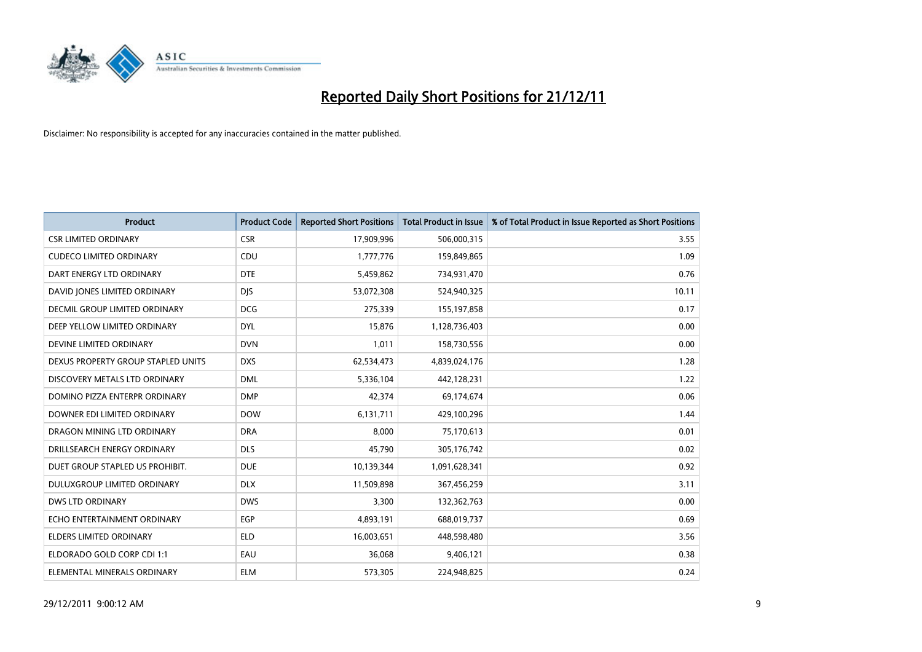

| <b>Product</b>                     | <b>Product Code</b> | <b>Reported Short Positions</b> | Total Product in Issue | % of Total Product in Issue Reported as Short Positions |
|------------------------------------|---------------------|---------------------------------|------------------------|---------------------------------------------------------|
| <b>CSR LIMITED ORDINARY</b>        | <b>CSR</b>          | 17,909,996                      | 506,000,315            | 3.55                                                    |
| <b>CUDECO LIMITED ORDINARY</b>     | CDU                 | 1,777,776                       | 159,849,865            | 1.09                                                    |
| DART ENERGY LTD ORDINARY           | <b>DTE</b>          | 5,459,862                       | 734,931,470            | 0.76                                                    |
| DAVID JONES LIMITED ORDINARY       | <b>DIS</b>          | 53,072,308                      | 524,940,325            | 10.11                                                   |
| DECMIL GROUP LIMITED ORDINARY      | <b>DCG</b>          | 275,339                         | 155,197,858            | 0.17                                                    |
| DEEP YELLOW LIMITED ORDINARY       | <b>DYL</b>          | 15,876                          | 1,128,736,403          | 0.00                                                    |
| DEVINE LIMITED ORDINARY            | <b>DVN</b>          | 1,011                           | 158,730,556            | 0.00                                                    |
| DEXUS PROPERTY GROUP STAPLED UNITS | <b>DXS</b>          | 62,534,473                      | 4,839,024,176          | 1.28                                                    |
| DISCOVERY METALS LTD ORDINARY      | <b>DML</b>          | 5,336,104                       | 442,128,231            | 1.22                                                    |
| DOMINO PIZZA ENTERPR ORDINARY      | <b>DMP</b>          | 42,374                          | 69,174,674             | 0.06                                                    |
| DOWNER EDI LIMITED ORDINARY        | <b>DOW</b>          | 6,131,711                       | 429,100,296            | 1.44                                                    |
| DRAGON MINING LTD ORDINARY         | <b>DRA</b>          | 8.000                           | 75,170,613             | 0.01                                                    |
| DRILLSEARCH ENERGY ORDINARY        | <b>DLS</b>          | 45,790                          | 305,176,742            | 0.02                                                    |
| DUET GROUP STAPLED US PROHIBIT.    | <b>DUE</b>          | 10,139,344                      | 1,091,628,341          | 0.92                                                    |
| DULUXGROUP LIMITED ORDINARY        | <b>DLX</b>          | 11,509,898                      | 367,456,259            | 3.11                                                    |
| DWS LTD ORDINARY                   | <b>DWS</b>          | 3,300                           | 132,362,763            | 0.00                                                    |
| ECHO ENTERTAINMENT ORDINARY        | <b>EGP</b>          | 4,893,191                       | 688,019,737            | 0.69                                                    |
| ELDERS LIMITED ORDINARY            | <b>ELD</b>          | 16,003,651                      | 448,598,480            | 3.56                                                    |
| ELDORADO GOLD CORP CDI 1:1         | EAU                 | 36,068                          | 9,406,121              | 0.38                                                    |
| ELEMENTAL MINERALS ORDINARY        | <b>ELM</b>          | 573,305                         | 224,948,825            | 0.24                                                    |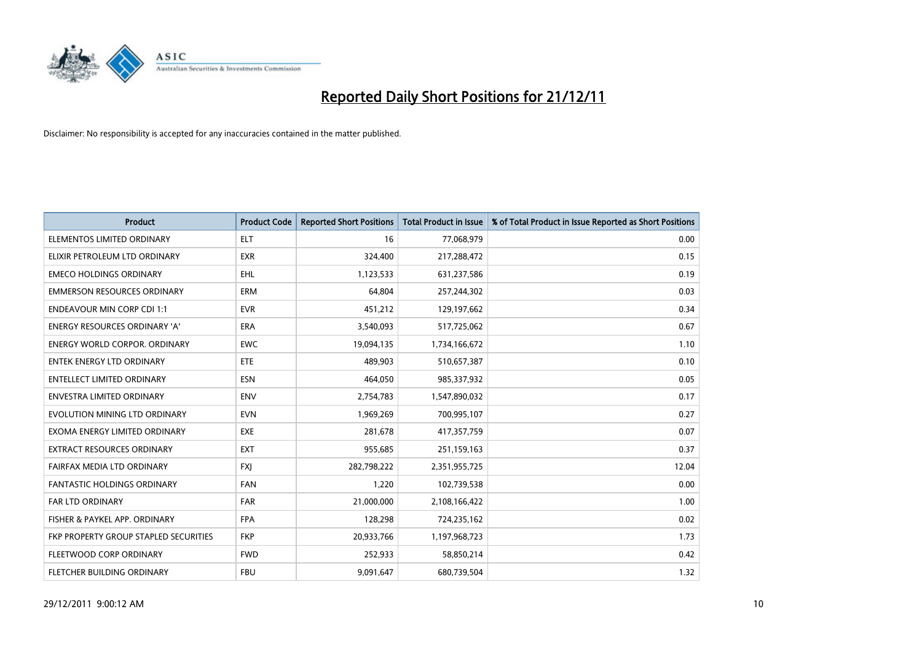

| <b>Product</b>                        | <b>Product Code</b> | <b>Reported Short Positions</b> | <b>Total Product in Issue</b> | % of Total Product in Issue Reported as Short Positions |
|---------------------------------------|---------------------|---------------------------------|-------------------------------|---------------------------------------------------------|
| ELEMENTOS LIMITED ORDINARY            | <b>ELT</b>          | 16                              | 77,068,979                    | 0.00                                                    |
| ELIXIR PETROLEUM LTD ORDINARY         | <b>EXR</b>          | 324,400                         | 217,288,472                   | 0.15                                                    |
| <b>EMECO HOLDINGS ORDINARY</b>        | <b>EHL</b>          | 1,123,533                       | 631,237,586                   | 0.19                                                    |
| <b>EMMERSON RESOURCES ORDINARY</b>    | <b>ERM</b>          | 64,804                          | 257,244,302                   | 0.03                                                    |
| <b>ENDEAVOUR MIN CORP CDI 1:1</b>     | <b>EVR</b>          | 451,212                         | 129,197,662                   | 0.34                                                    |
| <b>ENERGY RESOURCES ORDINARY 'A'</b>  | <b>ERA</b>          | 3,540,093                       | 517,725,062                   | 0.67                                                    |
| <b>ENERGY WORLD CORPOR, ORDINARY</b>  | <b>EWC</b>          | 19,094,135                      | 1,734,166,672                 | 1.10                                                    |
| <b>ENTEK ENERGY LTD ORDINARY</b>      | <b>ETE</b>          | 489,903                         | 510,657,387                   | 0.10                                                    |
| <b>ENTELLECT LIMITED ORDINARY</b>     | <b>ESN</b>          | 464,050                         | 985,337,932                   | 0.05                                                    |
| <b>ENVESTRA LIMITED ORDINARY</b>      | <b>ENV</b>          | 2,754,783                       | 1,547,890,032                 | 0.17                                                    |
| EVOLUTION MINING LTD ORDINARY         | <b>EVN</b>          | 1,969,269                       | 700,995,107                   | 0.27                                                    |
| EXOMA ENERGY LIMITED ORDINARY         | <b>EXE</b>          | 281,678                         | 417,357,759                   | 0.07                                                    |
| EXTRACT RESOURCES ORDINARY            | <b>EXT</b>          | 955,685                         | 251,159,163                   | 0.37                                                    |
| FAIRFAX MEDIA LTD ORDINARY            | <b>FXI</b>          | 282,798,222                     | 2,351,955,725                 | 12.04                                                   |
| <b>FANTASTIC HOLDINGS ORDINARY</b>    | <b>FAN</b>          | 1,220                           | 102,739,538                   | 0.00                                                    |
| FAR LTD ORDINARY                      | <b>FAR</b>          | 21,000,000                      | 2,108,166,422                 | 1.00                                                    |
| FISHER & PAYKEL APP. ORDINARY         | <b>FPA</b>          | 128,298                         | 724,235,162                   | 0.02                                                    |
| FKP PROPERTY GROUP STAPLED SECURITIES | <b>FKP</b>          | 20,933,766                      | 1,197,968,723                 | 1.73                                                    |
| FLEETWOOD CORP ORDINARY               | <b>FWD</b>          | 252,933                         | 58,850,214                    | 0.42                                                    |
| FLETCHER BUILDING ORDINARY            | <b>FBU</b>          | 9,091,647                       | 680,739,504                   | 1.32                                                    |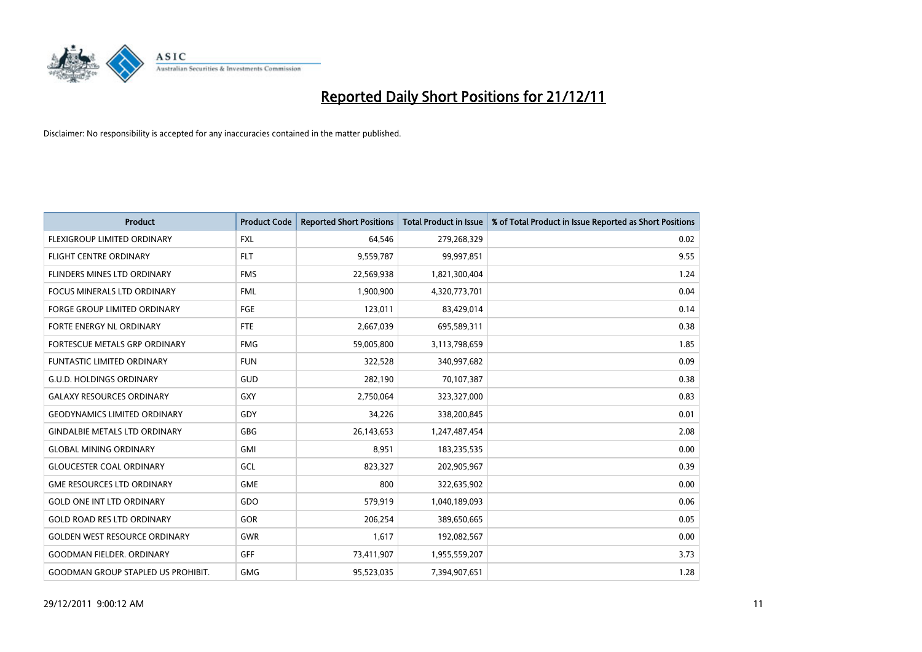

| <b>Product</b>                            | <b>Product Code</b> | <b>Reported Short Positions</b> | <b>Total Product in Issue</b> | % of Total Product in Issue Reported as Short Positions |
|-------------------------------------------|---------------------|---------------------------------|-------------------------------|---------------------------------------------------------|
| <b>FLEXIGROUP LIMITED ORDINARY</b>        | <b>FXL</b>          | 64,546                          | 279,268,329                   | 0.02                                                    |
| FLIGHT CENTRE ORDINARY                    | <b>FLT</b>          | 9,559,787                       | 99,997,851                    | 9.55                                                    |
| <b>FLINDERS MINES LTD ORDINARY</b>        | <b>FMS</b>          | 22,569,938                      | 1,821,300,404                 | 1.24                                                    |
| FOCUS MINERALS LTD ORDINARY               | <b>FML</b>          | 1,900,900                       | 4,320,773,701                 | 0.04                                                    |
| <b>FORGE GROUP LIMITED ORDINARY</b>       | FGE                 | 123,011                         | 83,429,014                    | 0.14                                                    |
| FORTE ENERGY NL ORDINARY                  | <b>FTE</b>          | 2,667,039                       | 695,589,311                   | 0.38                                                    |
| FORTESCUE METALS GRP ORDINARY             | <b>FMG</b>          | 59,005,800                      | 3,113,798,659                 | 1.85                                                    |
| FUNTASTIC LIMITED ORDINARY                | <b>FUN</b>          | 322,528                         | 340,997,682                   | 0.09                                                    |
| <b>G.U.D. HOLDINGS ORDINARY</b>           | GUD                 | 282,190                         | 70,107,387                    | 0.38                                                    |
| <b>GALAXY RESOURCES ORDINARY</b>          | <b>GXY</b>          | 2,750,064                       | 323,327,000                   | 0.83                                                    |
| <b>GEODYNAMICS LIMITED ORDINARY</b>       | GDY                 | 34,226                          | 338,200,845                   | 0.01                                                    |
| <b>GINDALBIE METALS LTD ORDINARY</b>      | <b>GBG</b>          | 26,143,653                      | 1,247,487,454                 | 2.08                                                    |
| <b>GLOBAL MINING ORDINARY</b>             | GMI                 | 8,951                           | 183,235,535                   | 0.00                                                    |
| <b>GLOUCESTER COAL ORDINARY</b>           | GCL                 | 823,327                         | 202,905,967                   | 0.39                                                    |
| <b>GME RESOURCES LTD ORDINARY</b>         | <b>GME</b>          | 800                             | 322,635,902                   | 0.00                                                    |
| <b>GOLD ONE INT LTD ORDINARY</b>          | GDO                 | 579,919                         | 1,040,189,093                 | 0.06                                                    |
| <b>GOLD ROAD RES LTD ORDINARY</b>         | <b>GOR</b>          | 206,254                         | 389,650,665                   | 0.05                                                    |
| <b>GOLDEN WEST RESOURCE ORDINARY</b>      | <b>GWR</b>          | 1,617                           | 192,082,567                   | 0.00                                                    |
| <b>GOODMAN FIELDER, ORDINARY</b>          | <b>GFF</b>          | 73,411,907                      | 1,955,559,207                 | 3.73                                                    |
| <b>GOODMAN GROUP STAPLED US PROHIBIT.</b> | <b>GMG</b>          | 95,523,035                      | 7,394,907,651                 | 1.28                                                    |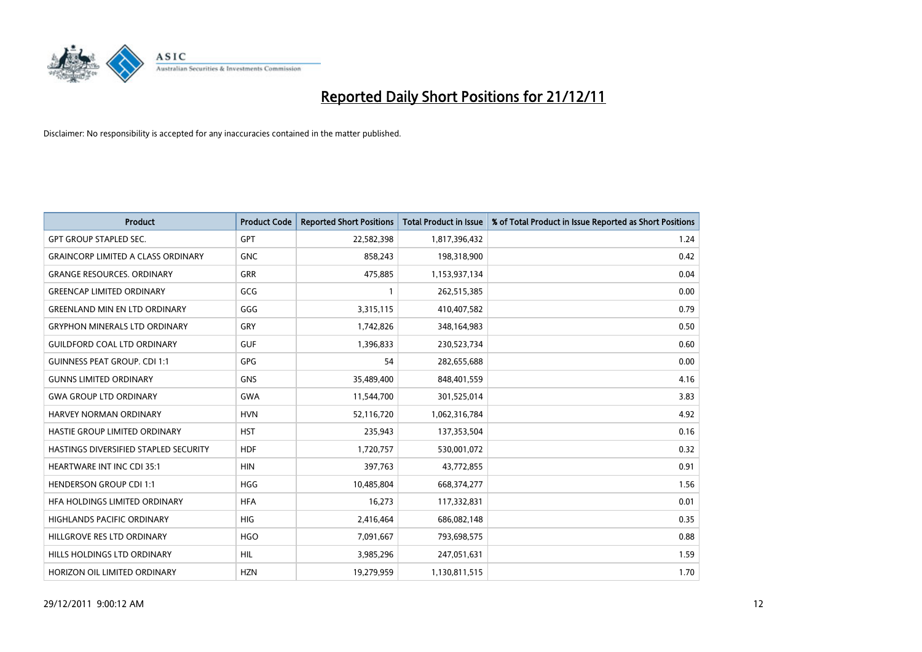

| <b>Product</b>                            | <b>Product Code</b> | <b>Reported Short Positions</b> | <b>Total Product in Issue</b> | % of Total Product in Issue Reported as Short Positions |
|-------------------------------------------|---------------------|---------------------------------|-------------------------------|---------------------------------------------------------|
| <b>GPT GROUP STAPLED SEC.</b>             | <b>GPT</b>          | 22,582,398                      | 1,817,396,432                 | 1.24                                                    |
| <b>GRAINCORP LIMITED A CLASS ORDINARY</b> | <b>GNC</b>          | 858,243                         | 198,318,900                   | 0.42                                                    |
| <b>GRANGE RESOURCES, ORDINARY</b>         | <b>GRR</b>          | 475,885                         | 1,153,937,134                 | 0.04                                                    |
| <b>GREENCAP LIMITED ORDINARY</b>          | GCG                 | $\mathbf{1}$                    | 262,515,385                   | 0.00                                                    |
| <b>GREENLAND MIN EN LTD ORDINARY</b>      | GGG                 | 3,315,115                       | 410,407,582                   | 0.79                                                    |
| <b>GRYPHON MINERALS LTD ORDINARY</b>      | GRY                 | 1,742,826                       | 348,164,983                   | 0.50                                                    |
| <b>GUILDFORD COAL LTD ORDINARY</b>        | <b>GUF</b>          | 1,396,833                       | 230,523,734                   | 0.60                                                    |
| <b>GUINNESS PEAT GROUP. CDI 1:1</b>       | GPG                 | 54                              | 282,655,688                   | 0.00                                                    |
| <b>GUNNS LIMITED ORDINARY</b>             | <b>GNS</b>          | 35,489,400                      | 848,401,559                   | 4.16                                                    |
| <b>GWA GROUP LTD ORDINARY</b>             | <b>GWA</b>          | 11,544,700                      | 301,525,014                   | 3.83                                                    |
| HARVEY NORMAN ORDINARY                    | <b>HVN</b>          | 52,116,720                      | 1,062,316,784                 | 4.92                                                    |
| HASTIE GROUP LIMITED ORDINARY             | <b>HST</b>          | 235,943                         | 137,353,504                   | 0.16                                                    |
| HASTINGS DIVERSIFIED STAPLED SECURITY     | <b>HDF</b>          | 1,720,757                       | 530,001,072                   | 0.32                                                    |
| <b>HEARTWARE INT INC CDI 35:1</b>         | <b>HIN</b>          | 397.763                         | 43,772,855                    | 0.91                                                    |
| <b>HENDERSON GROUP CDI 1:1</b>            | <b>HGG</b>          | 10,485,804                      | 668,374,277                   | 1.56                                                    |
| HFA HOLDINGS LIMITED ORDINARY             | <b>HFA</b>          | 16,273                          | 117,332,831                   | 0.01                                                    |
| <b>HIGHLANDS PACIFIC ORDINARY</b>         | <b>HIG</b>          | 2,416,464                       | 686,082,148                   | 0.35                                                    |
| HILLGROVE RES LTD ORDINARY                | <b>HGO</b>          | 7,091,667                       | 793,698,575                   | 0.88                                                    |
| <b>HILLS HOLDINGS LTD ORDINARY</b>        | <b>HIL</b>          | 3,985,296                       | 247,051,631                   | 1.59                                                    |
| HORIZON OIL LIMITED ORDINARY              | <b>HZN</b>          | 19.279.959                      | 1,130,811,515                 | 1.70                                                    |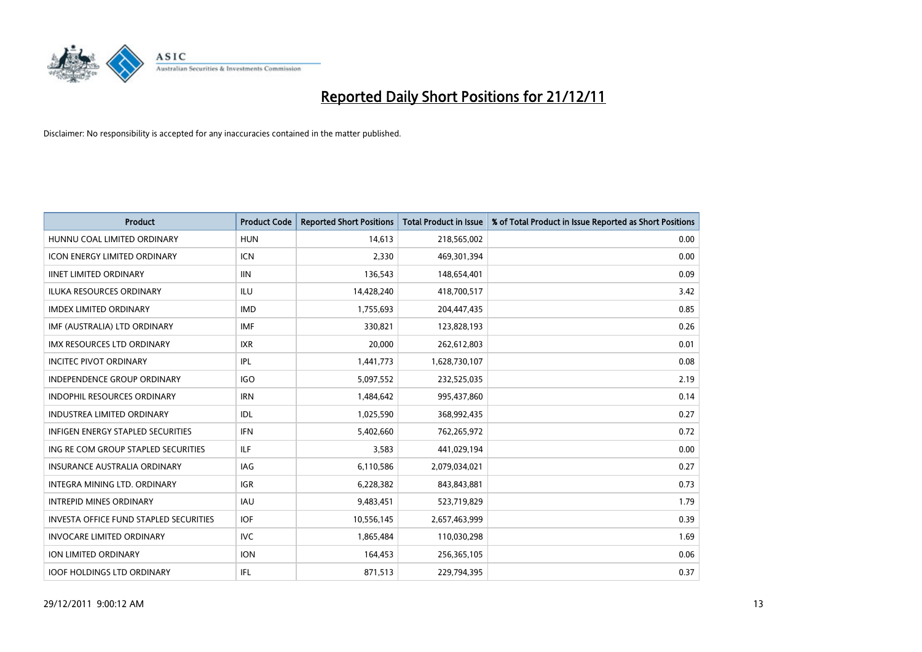

| <b>Product</b>                                | <b>Product Code</b> | <b>Reported Short Positions</b> | <b>Total Product in Issue</b> | % of Total Product in Issue Reported as Short Positions |
|-----------------------------------------------|---------------------|---------------------------------|-------------------------------|---------------------------------------------------------|
| HUNNU COAL LIMITED ORDINARY                   | <b>HUN</b>          | 14,613                          | 218,565,002                   | 0.00                                                    |
| ICON ENERGY LIMITED ORDINARY                  | <b>ICN</b>          | 2,330                           | 469,301,394                   | 0.00                                                    |
| <b>IINET LIMITED ORDINARY</b>                 | <b>IIN</b>          | 136,543                         | 148,654,401                   | 0.09                                                    |
| ILUKA RESOURCES ORDINARY                      | ILU                 | 14,428,240                      | 418,700,517                   | 3.42                                                    |
| <b>IMDEX LIMITED ORDINARY</b>                 | <b>IMD</b>          | 1,755,693                       | 204,447,435                   | 0.85                                                    |
| IMF (AUSTRALIA) LTD ORDINARY                  | <b>IMF</b>          | 330,821                         | 123,828,193                   | 0.26                                                    |
| <b>IMX RESOURCES LTD ORDINARY</b>             | <b>IXR</b>          | 20.000                          | 262,612,803                   | 0.01                                                    |
| <b>INCITEC PIVOT ORDINARY</b>                 | IPL                 | 1,441,773                       | 1,628,730,107                 | 0.08                                                    |
| INDEPENDENCE GROUP ORDINARY                   | <b>IGO</b>          | 5,097,552                       | 232,525,035                   | 2.19                                                    |
| <b>INDOPHIL RESOURCES ORDINARY</b>            | <b>IRN</b>          | 1,484,642                       | 995,437,860                   | 0.14                                                    |
| <b>INDUSTREA LIMITED ORDINARY</b>             | IDL                 | 1,025,590                       | 368,992,435                   | 0.27                                                    |
| <b>INFIGEN ENERGY STAPLED SECURITIES</b>      | <b>IFN</b>          | 5,402,660                       | 762,265,972                   | 0.72                                                    |
| ING RE COM GROUP STAPLED SECURITIES           | <b>ILF</b>          | 3,583                           | 441,029,194                   | 0.00                                                    |
| <b>INSURANCE AUSTRALIA ORDINARY</b>           | IAG                 | 6,110,586                       | 2,079,034,021                 | 0.27                                                    |
| <b>INTEGRA MINING LTD, ORDINARY</b>           | <b>IGR</b>          | 6,228,382                       | 843,843,881                   | 0.73                                                    |
| <b>INTREPID MINES ORDINARY</b>                | <b>IAU</b>          | 9,483,451                       | 523,719,829                   | 1.79                                                    |
| <b>INVESTA OFFICE FUND STAPLED SECURITIES</b> | <b>IOF</b>          | 10,556,145                      | 2,657,463,999                 | 0.39                                                    |
| <b>INVOCARE LIMITED ORDINARY</b>              | <b>IVC</b>          | 1,865,484                       | 110,030,298                   | 1.69                                                    |
| <b>ION LIMITED ORDINARY</b>                   | <b>ION</b>          | 164,453                         | 256,365,105                   | 0.06                                                    |
| <b>IOOF HOLDINGS LTD ORDINARY</b>             | <b>IFL</b>          | 871,513                         | 229,794,395                   | 0.37                                                    |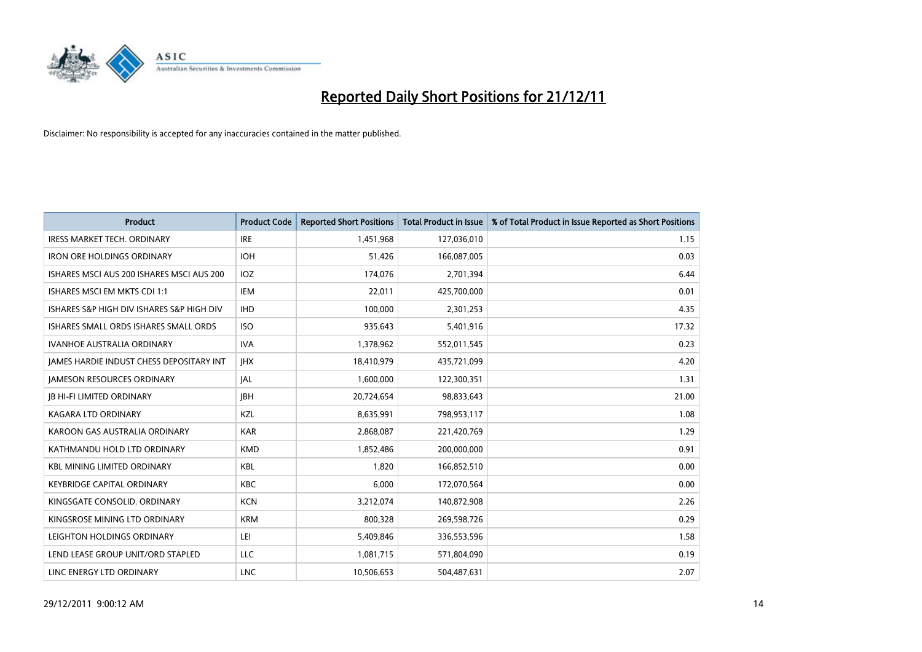

| <b>Product</b>                                  | <b>Product Code</b> | <b>Reported Short Positions</b> | <b>Total Product in Issue</b> | % of Total Product in Issue Reported as Short Positions |
|-------------------------------------------------|---------------------|---------------------------------|-------------------------------|---------------------------------------------------------|
| <b>IRESS MARKET TECH. ORDINARY</b>              | <b>IRE</b>          | 1,451,968                       | 127,036,010                   | 1.15                                                    |
| <b>IRON ORE HOLDINGS ORDINARY</b>               | <b>IOH</b>          | 51,426                          | 166,087,005                   | 0.03                                                    |
| ISHARES MSCI AUS 200 ISHARES MSCI AUS 200       | <b>IOZ</b>          | 174,076                         | 2,701,394                     | 6.44                                                    |
| ISHARES MSCI EM MKTS CDI 1:1                    | <b>IEM</b>          | 22,011                          | 425,700,000                   | 0.01                                                    |
| ISHARES S&P HIGH DIV ISHARES S&P HIGH DIV       | <b>IHD</b>          | 100,000                         | 2,301,253                     | 4.35                                                    |
| ISHARES SMALL ORDS ISHARES SMALL ORDS           | <b>ISO</b>          | 935,643                         | 5,401,916                     | 17.32                                                   |
| <b>IVANHOE AUSTRALIA ORDINARY</b>               | <b>IVA</b>          | 1,378,962                       | 552,011,545                   | 0.23                                                    |
| <b>JAMES HARDIE INDUST CHESS DEPOSITARY INT</b> | <b>IHX</b>          | 18,410,979                      | 435,721,099                   | 4.20                                                    |
| <b>JAMESON RESOURCES ORDINARY</b>               | <b>JAL</b>          | 1,600,000                       | 122,300,351                   | 1.31                                                    |
| <b>JB HI-FI LIMITED ORDINARY</b>                | <b>IBH</b>          | 20,724,654                      | 98,833,643                    | 21.00                                                   |
| <b>KAGARA LTD ORDINARY</b>                      | KZL                 | 8,635,991                       | 798,953,117                   | 1.08                                                    |
| KAROON GAS AUSTRALIA ORDINARY                   | <b>KAR</b>          | 2,868,087                       | 221,420,769                   | 1.29                                                    |
| KATHMANDU HOLD LTD ORDINARY                     | <b>KMD</b>          | 1,852,486                       | 200,000,000                   | 0.91                                                    |
| <b>KBL MINING LIMITED ORDINARY</b>              | <b>KBL</b>          | 1,820                           | 166,852,510                   | 0.00                                                    |
| <b>KEYBRIDGE CAPITAL ORDINARY</b>               | <b>KBC</b>          | 6.000                           | 172,070,564                   | 0.00                                                    |
| KINGSGATE CONSOLID, ORDINARY                    | <b>KCN</b>          | 3,212,074                       | 140,872,908                   | 2.26                                                    |
| KINGSROSE MINING LTD ORDINARY                   | <b>KRM</b>          | 800,328                         | 269,598,726                   | 0.29                                                    |
| LEIGHTON HOLDINGS ORDINARY                      | LEI                 | 5,409,846                       | 336,553,596                   | 1.58                                                    |
| LEND LEASE GROUP UNIT/ORD STAPLED               | LLC                 | 1,081,715                       | 571,804,090                   | 0.19                                                    |
| LINC ENERGY LTD ORDINARY                        | <b>LNC</b>          | 10,506,653                      | 504,487,631                   | 2.07                                                    |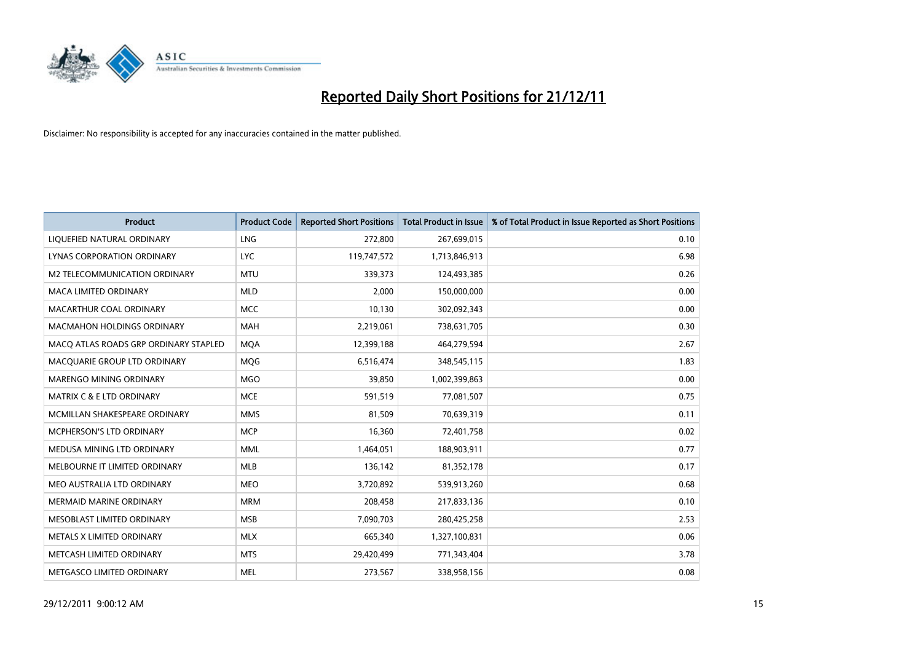

| <b>Product</b>                        | <b>Product Code</b> | <b>Reported Short Positions</b> | <b>Total Product in Issue</b> | % of Total Product in Issue Reported as Short Positions |
|---------------------------------------|---------------------|---------------------------------|-------------------------------|---------------------------------------------------------|
| LIQUEFIED NATURAL ORDINARY            | <b>LNG</b>          | 272,800                         | 267,699,015                   | 0.10                                                    |
| LYNAS CORPORATION ORDINARY            | <b>LYC</b>          | 119,747,572                     | 1,713,846,913                 | 6.98                                                    |
| M2 TELECOMMUNICATION ORDINARY         | <b>MTU</b>          | 339,373                         | 124,493,385                   | 0.26                                                    |
| MACA LIMITED ORDINARY                 | <b>MLD</b>          | 2,000                           | 150,000,000                   | 0.00                                                    |
| MACARTHUR COAL ORDINARY               | <b>MCC</b>          | 10,130                          | 302,092,343                   | 0.00                                                    |
| <b>MACMAHON HOLDINGS ORDINARY</b>     | <b>MAH</b>          | 2,219,061                       | 738,631,705                   | 0.30                                                    |
| MACQ ATLAS ROADS GRP ORDINARY STAPLED | <b>MOA</b>          | 12,399,188                      | 464,279,594                   | 2.67                                                    |
| MACQUARIE GROUP LTD ORDINARY          | <b>MOG</b>          | 6,516,474                       | 348,545,115                   | 1.83                                                    |
| MARENGO MINING ORDINARY               | <b>MGO</b>          | 39,850                          | 1,002,399,863                 | 0.00                                                    |
| <b>MATRIX C &amp; E LTD ORDINARY</b>  | <b>MCE</b>          | 591,519                         | 77,081,507                    | 0.75                                                    |
| MCMILLAN SHAKESPEARE ORDINARY         | <b>MMS</b>          | 81,509                          | 70,639,319                    | 0.11                                                    |
| <b>MCPHERSON'S LTD ORDINARY</b>       | <b>MCP</b>          | 16,360                          | 72,401,758                    | 0.02                                                    |
| MEDUSA MINING LTD ORDINARY            | <b>MML</b>          | 1,464,051                       | 188,903,911                   | 0.77                                                    |
| MELBOURNE IT LIMITED ORDINARY         | <b>MLB</b>          | 136,142                         | 81,352,178                    | 0.17                                                    |
| MEO AUSTRALIA LTD ORDINARY            | <b>MEO</b>          | 3,720,892                       | 539,913,260                   | 0.68                                                    |
| MERMAID MARINE ORDINARY               | <b>MRM</b>          | 208,458                         | 217,833,136                   | 0.10                                                    |
| MESOBLAST LIMITED ORDINARY            | <b>MSB</b>          | 7,090,703                       | 280,425,258                   | 2.53                                                    |
| METALS X LIMITED ORDINARY             | <b>MLX</b>          | 665,340                         | 1,327,100,831                 | 0.06                                                    |
| METCASH LIMITED ORDINARY              | <b>MTS</b>          | 29,420,499                      | 771,343,404                   | 3.78                                                    |
| METGASCO LIMITED ORDINARY             | <b>MEL</b>          | 273,567                         | 338,958,156                   | 0.08                                                    |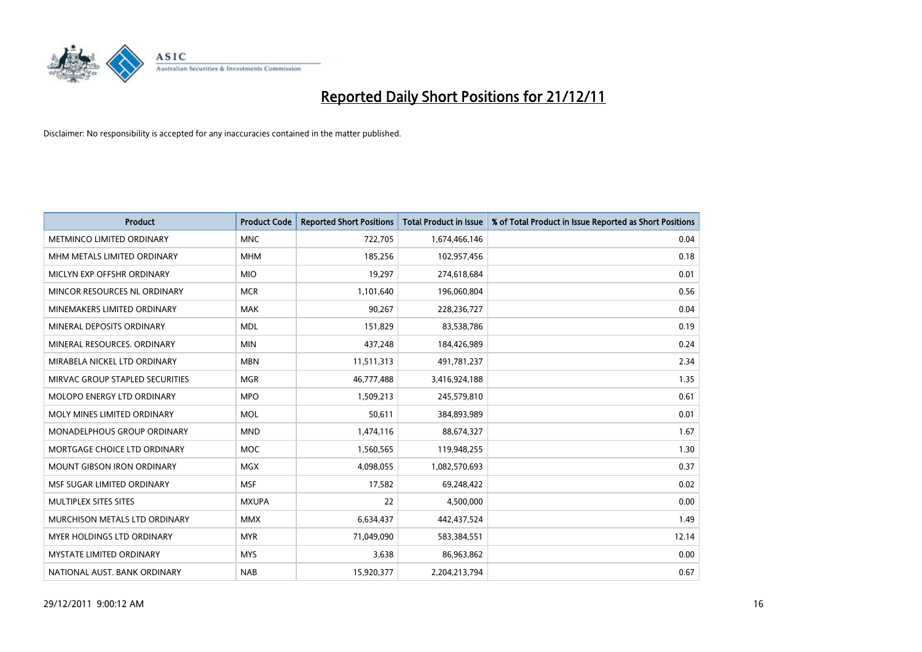

| <b>Product</b>                       | <b>Product Code</b> | <b>Reported Short Positions</b> | <b>Total Product in Issue</b> | % of Total Product in Issue Reported as Short Positions |
|--------------------------------------|---------------------|---------------------------------|-------------------------------|---------------------------------------------------------|
| METMINCO LIMITED ORDINARY            | <b>MNC</b>          | 722,705                         | 1,674,466,146                 | 0.04                                                    |
| MHM METALS LIMITED ORDINARY          | <b>MHM</b>          | 185,256                         | 102,957,456                   | 0.18                                                    |
| MICLYN EXP OFFSHR ORDINARY           | <b>MIO</b>          | 19,297                          | 274,618,684                   | 0.01                                                    |
| MINCOR RESOURCES NL ORDINARY         | <b>MCR</b>          | 1,101,640                       | 196,060,804                   | 0.56                                                    |
| MINEMAKERS LIMITED ORDINARY          | <b>MAK</b>          | 90,267                          | 228,236,727                   | 0.04                                                    |
| MINERAL DEPOSITS ORDINARY            | <b>MDL</b>          | 151,829                         | 83,538,786                    | 0.19                                                    |
| MINERAL RESOURCES, ORDINARY          | <b>MIN</b>          | 437.248                         | 184,426,989                   | 0.24                                                    |
| MIRABELA NICKEL LTD ORDINARY         | <b>MBN</b>          | 11,511,313                      | 491,781,237                   | 2.34                                                    |
| MIRVAC GROUP STAPLED SECURITIES      | <b>MGR</b>          | 46,777,488                      | 3,416,924,188                 | 1.35                                                    |
| MOLOPO ENERGY LTD ORDINARY           | <b>MPO</b>          | 1,509,213                       | 245,579,810                   | 0.61                                                    |
| MOLY MINES LIMITED ORDINARY          | <b>MOL</b>          | 50,611                          | 384,893,989                   | 0.01                                                    |
| <b>MONADELPHOUS GROUP ORDINARY</b>   | <b>MND</b>          | 1,474,116                       | 88,674,327                    | 1.67                                                    |
| MORTGAGE CHOICE LTD ORDINARY         | <b>MOC</b>          | 1,560,565                       | 119,948,255                   | 1.30                                                    |
| <b>MOUNT GIBSON IRON ORDINARY</b>    | <b>MGX</b>          | 4,098,055                       | 1,082,570,693                 | 0.37                                                    |
| MSF SUGAR LIMITED ORDINARY           | <b>MSF</b>          | 17,582                          | 69,248,422                    | 0.02                                                    |
| MULTIPLEX SITES SITES                | <b>MXUPA</b>        | 22                              | 4,500,000                     | 0.00                                                    |
| <b>MURCHISON METALS LTD ORDINARY</b> | <b>MMX</b>          | 6,634,437                       | 442,437,524                   | 1.49                                                    |
| <b>MYER HOLDINGS LTD ORDINARY</b>    | <b>MYR</b>          | 71,049,090                      | 583,384,551                   | 12.14                                                   |
| <b>MYSTATE LIMITED ORDINARY</b>      | <b>MYS</b>          | 3,638                           | 86,963,862                    | 0.00                                                    |
| NATIONAL AUST. BANK ORDINARY         | <b>NAB</b>          | 15,920,377                      | 2,204,213,794                 | 0.67                                                    |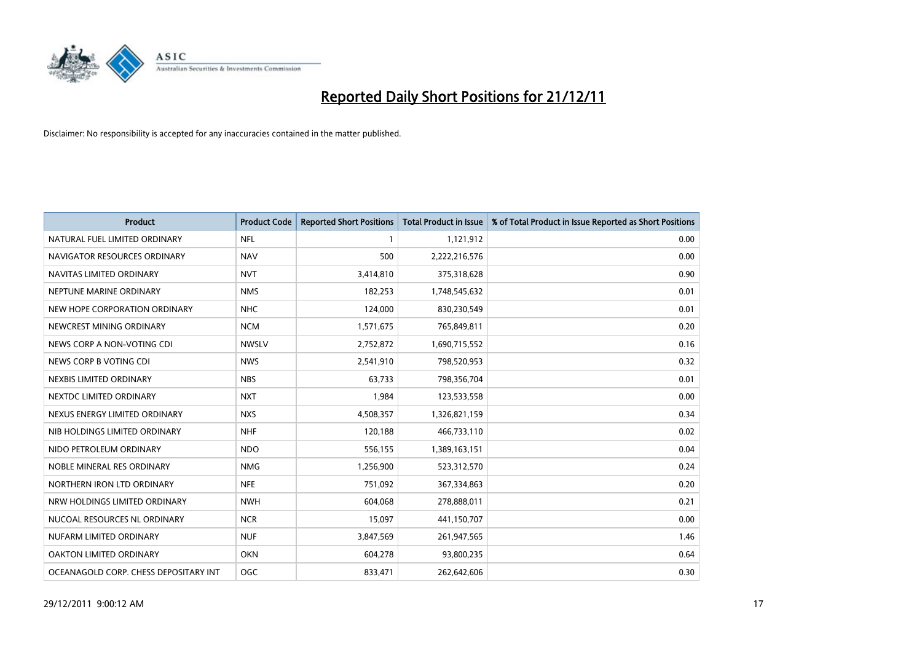

| <b>Product</b>                        | <b>Product Code</b> | <b>Reported Short Positions</b> | Total Product in Issue | % of Total Product in Issue Reported as Short Positions |
|---------------------------------------|---------------------|---------------------------------|------------------------|---------------------------------------------------------|
| NATURAL FUEL LIMITED ORDINARY         | <b>NFL</b>          |                                 | 1,121,912              | 0.00                                                    |
| NAVIGATOR RESOURCES ORDINARY          | <b>NAV</b>          | 500                             | 2,222,216,576          | 0.00                                                    |
| NAVITAS LIMITED ORDINARY              | <b>NVT</b>          | 3,414,810                       | 375,318,628            | 0.90                                                    |
| NEPTUNE MARINE ORDINARY               | <b>NMS</b>          | 182,253                         | 1,748,545,632          | 0.01                                                    |
| NEW HOPE CORPORATION ORDINARY         | <b>NHC</b>          | 124,000                         | 830,230,549            | 0.01                                                    |
| NEWCREST MINING ORDINARY              | <b>NCM</b>          | 1,571,675                       | 765,849,811            | 0.20                                                    |
| NEWS CORP A NON-VOTING CDI            | <b>NWSLV</b>        | 2,752,872                       | 1,690,715,552          | 0.16                                                    |
| NEWS CORP B VOTING CDI                | <b>NWS</b>          | 2,541,910                       | 798,520,953            | 0.32                                                    |
| NEXBIS LIMITED ORDINARY               | <b>NBS</b>          | 63.733                          | 798,356,704            | 0.01                                                    |
| NEXTDC LIMITED ORDINARY               | <b>NXT</b>          | 1,984                           | 123,533,558            | 0.00                                                    |
| NEXUS ENERGY LIMITED ORDINARY         | <b>NXS</b>          | 4,508,357                       | 1,326,821,159          | 0.34                                                    |
| NIB HOLDINGS LIMITED ORDINARY         | <b>NHF</b>          | 120,188                         | 466,733,110            | 0.02                                                    |
| NIDO PETROLEUM ORDINARY               | <b>NDO</b>          | 556,155                         | 1,389,163,151          | 0.04                                                    |
| NOBLE MINERAL RES ORDINARY            | <b>NMG</b>          | 1,256,900                       | 523,312,570            | 0.24                                                    |
| NORTHERN IRON LTD ORDINARY            | <b>NFE</b>          | 751,092                         | 367,334,863            | 0.20                                                    |
| NRW HOLDINGS LIMITED ORDINARY         | <b>NWH</b>          | 604,068                         | 278,888,011            | 0.21                                                    |
| NUCOAL RESOURCES NL ORDINARY          | <b>NCR</b>          | 15,097                          | 441,150,707            | 0.00                                                    |
| NUFARM LIMITED ORDINARY               | <b>NUF</b>          | 3,847,569                       | 261,947,565            | 1.46                                                    |
| OAKTON LIMITED ORDINARY               | <b>OKN</b>          | 604,278                         | 93,800,235             | 0.64                                                    |
| OCEANAGOLD CORP. CHESS DEPOSITARY INT | <b>OGC</b>          | 833.471                         | 262,642,606            | 0.30                                                    |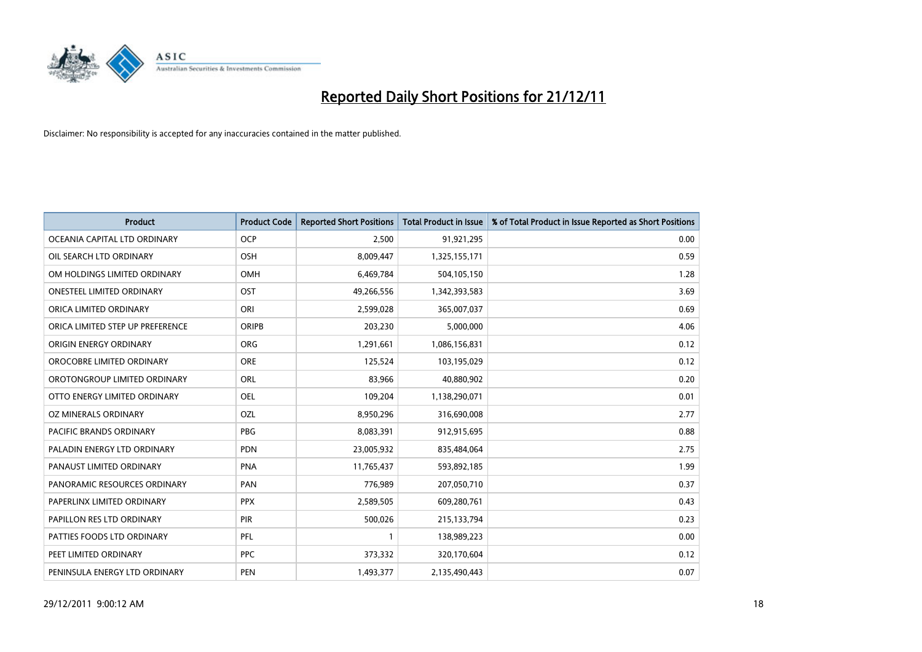

| <b>Product</b>                   | <b>Product Code</b> | <b>Reported Short Positions</b> | <b>Total Product in Issue</b> | % of Total Product in Issue Reported as Short Positions |
|----------------------------------|---------------------|---------------------------------|-------------------------------|---------------------------------------------------------|
| OCEANIA CAPITAL LTD ORDINARY     | <b>OCP</b>          | 2,500                           | 91,921,295                    | 0.00                                                    |
| OIL SEARCH LTD ORDINARY          | OSH                 | 8,009,447                       | 1,325,155,171                 | 0.59                                                    |
| OM HOLDINGS LIMITED ORDINARY     | OMH                 | 6,469,784                       | 504,105,150                   | 1.28                                                    |
| ONESTEEL LIMITED ORDINARY        | OST                 | 49,266,556                      | 1,342,393,583                 | 3.69                                                    |
| ORICA LIMITED ORDINARY           | ORI                 | 2,599,028                       | 365,007,037                   | 0.69                                                    |
| ORICA LIMITED STEP UP PREFERENCE | <b>ORIPB</b>        | 203,230                         | 5,000,000                     | 4.06                                                    |
| ORIGIN ENERGY ORDINARY           | <b>ORG</b>          | 1,291,661                       | 1,086,156,831                 | 0.12                                                    |
| OROCOBRE LIMITED ORDINARY        | <b>ORE</b>          | 125,524                         | 103,195,029                   | 0.12                                                    |
| OROTONGROUP LIMITED ORDINARY     | ORL                 | 83,966                          | 40,880,902                    | 0.20                                                    |
| OTTO ENERGY LIMITED ORDINARY     | <b>OEL</b>          | 109,204                         | 1,138,290,071                 | 0.01                                                    |
| OZ MINERALS ORDINARY             | OZL                 | 8,950,296                       | 316,690,008                   | 2.77                                                    |
| PACIFIC BRANDS ORDINARY          | <b>PBG</b>          | 8,083,391                       | 912,915,695                   | 0.88                                                    |
| PALADIN ENERGY LTD ORDINARY      | <b>PDN</b>          | 23,005,932                      | 835,484,064                   | 2.75                                                    |
| PANAUST LIMITED ORDINARY         | <b>PNA</b>          | 11,765,437                      | 593,892,185                   | 1.99                                                    |
| PANORAMIC RESOURCES ORDINARY     | PAN                 | 776,989                         | 207,050,710                   | 0.37                                                    |
| PAPERLINX LIMITED ORDINARY       | <b>PPX</b>          | 2,589,505                       | 609,280,761                   | 0.43                                                    |
| PAPILLON RES LTD ORDINARY        | PIR                 | 500,026                         | 215,133,794                   | 0.23                                                    |
| PATTIES FOODS LTD ORDINARY       | PFL                 |                                 | 138,989,223                   | 0.00                                                    |
| PEET LIMITED ORDINARY            | <b>PPC</b>          | 373,332                         | 320,170,604                   | 0.12                                                    |
| PENINSULA ENERGY LTD ORDINARY    | <b>PEN</b>          | 1,493,377                       | 2,135,490,443                 | 0.07                                                    |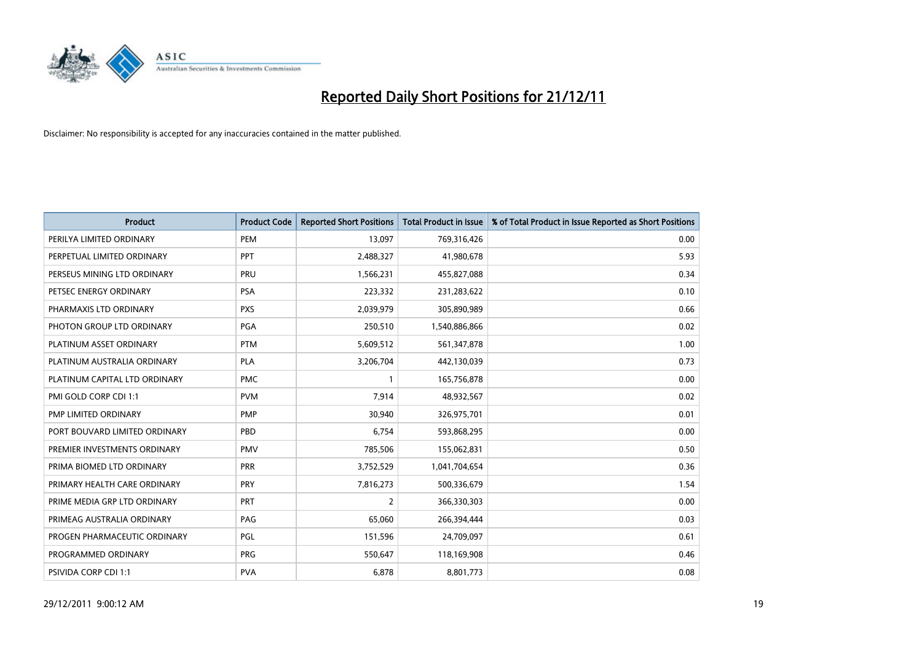

| <b>Product</b>                | <b>Product Code</b> | <b>Reported Short Positions</b> | <b>Total Product in Issue</b> | % of Total Product in Issue Reported as Short Positions |
|-------------------------------|---------------------|---------------------------------|-------------------------------|---------------------------------------------------------|
| PERILYA LIMITED ORDINARY      | PEM                 | 13,097                          | 769,316,426                   | 0.00                                                    |
| PERPETUAL LIMITED ORDINARY    | PPT                 | 2,488,327                       | 41,980,678                    | 5.93                                                    |
| PERSEUS MINING LTD ORDINARY   | PRU                 | 1,566,231                       | 455,827,088                   | 0.34                                                    |
| PETSEC ENERGY ORDINARY        | <b>PSA</b>          | 223,332                         | 231,283,622                   | 0.10                                                    |
| PHARMAXIS LTD ORDINARY        | <b>PXS</b>          | 2,039,979                       | 305,890,989                   | 0.66                                                    |
| PHOTON GROUP LTD ORDINARY     | PGA                 | 250,510                         | 1,540,886,866                 | 0.02                                                    |
| PLATINUM ASSET ORDINARY       | <b>PTM</b>          | 5,609,512                       | 561,347,878                   | 1.00                                                    |
| PLATINUM AUSTRALIA ORDINARY   | <b>PLA</b>          | 3,206,704                       | 442,130,039                   | 0.73                                                    |
| PLATINUM CAPITAL LTD ORDINARY | <b>PMC</b>          |                                 | 165,756,878                   | 0.00                                                    |
| PMI GOLD CORP CDI 1:1         | <b>PVM</b>          | 7,914                           | 48,932,567                    | 0.02                                                    |
| PMP LIMITED ORDINARY          | <b>PMP</b>          | 30,940                          | 326,975,701                   | 0.01                                                    |
| PORT BOUVARD LIMITED ORDINARY | PBD                 | 6,754                           | 593,868,295                   | 0.00                                                    |
| PREMIER INVESTMENTS ORDINARY  | <b>PMV</b>          | 785,506                         | 155,062,831                   | 0.50                                                    |
| PRIMA BIOMED LTD ORDINARY     | <b>PRR</b>          | 3,752,529                       | 1,041,704,654                 | 0.36                                                    |
| PRIMARY HEALTH CARE ORDINARY  | PRY                 | 7,816,273                       | 500,336,679                   | 1.54                                                    |
| PRIME MEDIA GRP LTD ORDINARY  | PRT                 | 2                               | 366,330,303                   | 0.00                                                    |
| PRIMEAG AUSTRALIA ORDINARY    | PAG                 | 65,060                          | 266,394,444                   | 0.03                                                    |
| PROGEN PHARMACEUTIC ORDINARY  | PGL                 | 151,596                         | 24,709,097                    | 0.61                                                    |
| PROGRAMMED ORDINARY           | <b>PRG</b>          | 550,647                         | 118,169,908                   | 0.46                                                    |
| PSIVIDA CORP CDI 1:1          | <b>PVA</b>          | 6,878                           | 8,801,773                     | 0.08                                                    |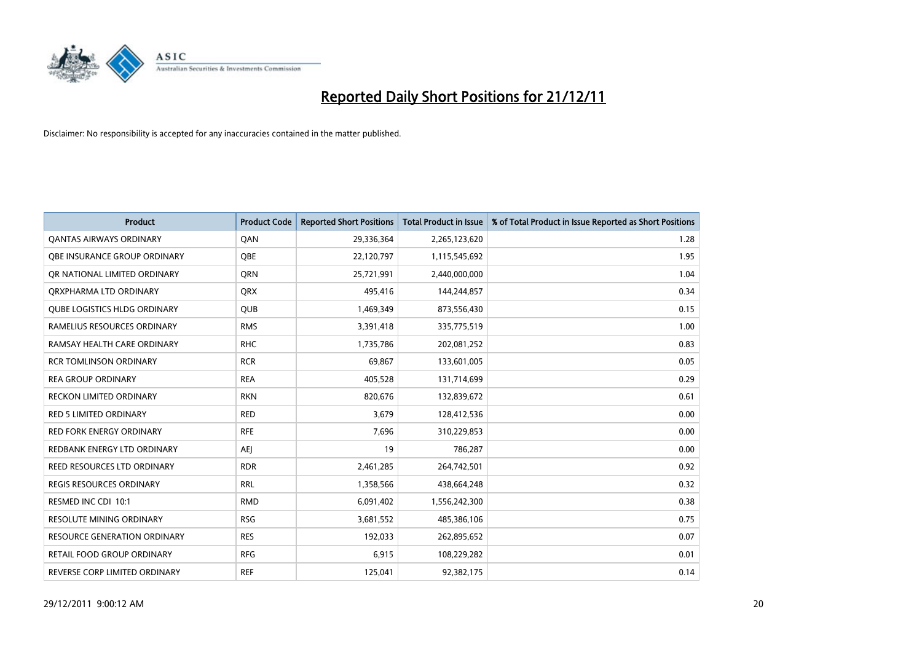

| <b>Product</b>                      | <b>Product Code</b> | <b>Reported Short Positions</b> | <b>Total Product in Issue</b> | % of Total Product in Issue Reported as Short Positions |
|-------------------------------------|---------------------|---------------------------------|-------------------------------|---------------------------------------------------------|
| <b>QANTAS AIRWAYS ORDINARY</b>      | QAN                 | 29,336,364                      | 2,265,123,620                 | 1.28                                                    |
| OBE INSURANCE GROUP ORDINARY        | <b>OBE</b>          | 22,120,797                      | 1,115,545,692                 | 1.95                                                    |
| OR NATIONAL LIMITED ORDINARY        | <b>ORN</b>          | 25,721,991                      | 2,440,000,000                 | 1.04                                                    |
| ORXPHARMA LTD ORDINARY              | <b>QRX</b>          | 495,416                         | 144,244,857                   | 0.34                                                    |
| <b>QUBE LOGISTICS HLDG ORDINARY</b> | <b>QUB</b>          | 1,469,349                       | 873,556,430                   | 0.15                                                    |
| RAMELIUS RESOURCES ORDINARY         | <b>RMS</b>          | 3,391,418                       | 335,775,519                   | 1.00                                                    |
| RAMSAY HEALTH CARE ORDINARY         | <b>RHC</b>          | 1,735,786                       | 202,081,252                   | 0.83                                                    |
| <b>RCR TOMLINSON ORDINARY</b>       | <b>RCR</b>          | 69,867                          | 133,601,005                   | 0.05                                                    |
| <b>REA GROUP ORDINARY</b>           | <b>REA</b>          | 405,528                         | 131,714,699                   | 0.29                                                    |
| <b>RECKON LIMITED ORDINARY</b>      | <b>RKN</b>          | 820,676                         | 132,839,672                   | 0.61                                                    |
| RED 5 LIMITED ORDINARY              | <b>RED</b>          | 3,679                           | 128,412,536                   | 0.00                                                    |
| <b>RED FORK ENERGY ORDINARY</b>     | <b>RFE</b>          | 7,696                           | 310,229,853                   | 0.00                                                    |
| REDBANK ENERGY LTD ORDINARY         | AEI                 | 19                              | 786,287                       | 0.00                                                    |
| REED RESOURCES LTD ORDINARY         | <b>RDR</b>          | 2,461,285                       | 264,742,501                   | 0.92                                                    |
| <b>REGIS RESOURCES ORDINARY</b>     | <b>RRL</b>          | 1,358,566                       | 438,664,248                   | 0.32                                                    |
| RESMED INC CDI 10:1                 | <b>RMD</b>          | 6,091,402                       | 1,556,242,300                 | 0.38                                                    |
| RESOLUTE MINING ORDINARY            | <b>RSG</b>          | 3,681,552                       | 485,386,106                   | 0.75                                                    |
| RESOURCE GENERATION ORDINARY        | <b>RES</b>          | 192,033                         | 262,895,652                   | 0.07                                                    |
| RETAIL FOOD GROUP ORDINARY          | <b>RFG</b>          | 6,915                           | 108,229,282                   | 0.01                                                    |
| REVERSE CORP LIMITED ORDINARY       | <b>REF</b>          | 125,041                         | 92,382,175                    | 0.14                                                    |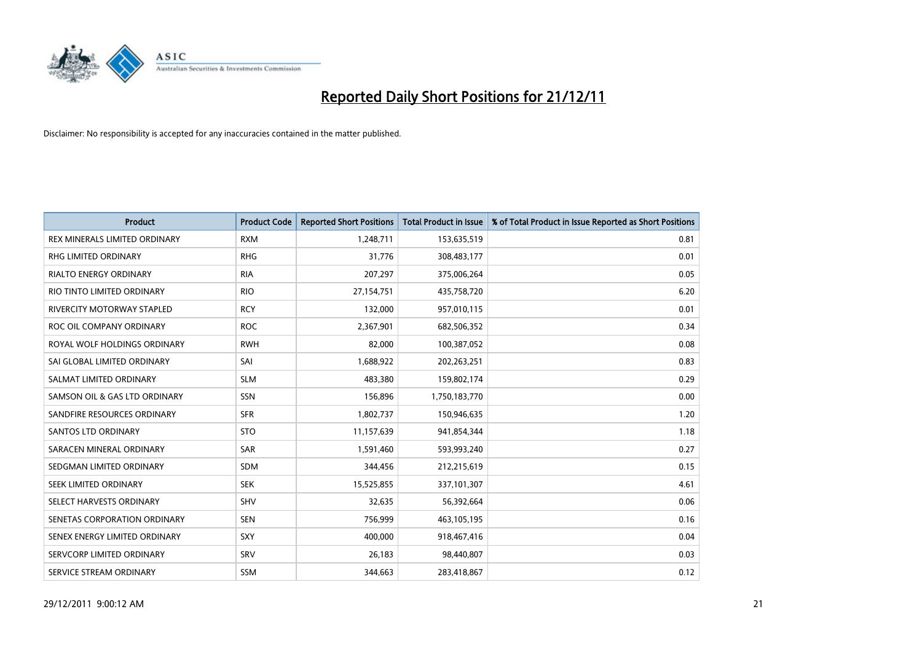

| <b>Product</b>                    | <b>Product Code</b> | <b>Reported Short Positions</b> | <b>Total Product in Issue</b> | % of Total Product in Issue Reported as Short Positions |
|-----------------------------------|---------------------|---------------------------------|-------------------------------|---------------------------------------------------------|
| REX MINERALS LIMITED ORDINARY     | <b>RXM</b>          | 1,248,711                       | 153,635,519                   | 0.81                                                    |
| RHG LIMITED ORDINARY              | <b>RHG</b>          | 31,776                          | 308,483,177                   | 0.01                                                    |
| <b>RIALTO ENERGY ORDINARY</b>     | <b>RIA</b>          | 207,297                         | 375,006,264                   | 0.05                                                    |
| RIO TINTO LIMITED ORDINARY        | <b>RIO</b>          | 27,154,751                      | 435,758,720                   | 6.20                                                    |
| <b>RIVERCITY MOTORWAY STAPLED</b> | <b>RCY</b>          | 132,000                         | 957,010,115                   | 0.01                                                    |
| ROC OIL COMPANY ORDINARY          | <b>ROC</b>          | 2,367,901                       | 682,506,352                   | 0.34                                                    |
| ROYAL WOLF HOLDINGS ORDINARY      | <b>RWH</b>          | 82.000                          | 100,387,052                   | 0.08                                                    |
| SAI GLOBAL LIMITED ORDINARY       | SAI                 | 1,688,922                       | 202,263,251                   | 0.83                                                    |
| SALMAT LIMITED ORDINARY           | <b>SLM</b>          | 483,380                         | 159,802,174                   | 0.29                                                    |
| SAMSON OIL & GAS LTD ORDINARY     | SSN                 | 156,896                         | 1,750,183,770                 | 0.00                                                    |
| SANDFIRE RESOURCES ORDINARY       | <b>SFR</b>          | 1,802,737                       | 150,946,635                   | 1.20                                                    |
| <b>SANTOS LTD ORDINARY</b>        | <b>STO</b>          | 11,157,639                      | 941,854,344                   | 1.18                                                    |
| SARACEN MINERAL ORDINARY          | SAR                 | 1,591,460                       | 593,993,240                   | 0.27                                                    |
| SEDGMAN LIMITED ORDINARY          | <b>SDM</b>          | 344,456                         | 212,215,619                   | 0.15                                                    |
| SEEK LIMITED ORDINARY             | <b>SEK</b>          | 15,525,855                      | 337,101,307                   | 4.61                                                    |
| SELECT HARVESTS ORDINARY          | SHV                 | 32,635                          | 56,392,664                    | 0.06                                                    |
| SENETAS CORPORATION ORDINARY      | <b>SEN</b>          | 756,999                         | 463,105,195                   | 0.16                                                    |
| SENEX ENERGY LIMITED ORDINARY     | <b>SXY</b>          | 400,000                         | 918,467,416                   | 0.04                                                    |
| SERVCORP LIMITED ORDINARY         | SRV                 | 26,183                          | 98,440,807                    | 0.03                                                    |
| SERVICE STREAM ORDINARY           | <b>SSM</b>          | 344.663                         | 283,418,867                   | 0.12                                                    |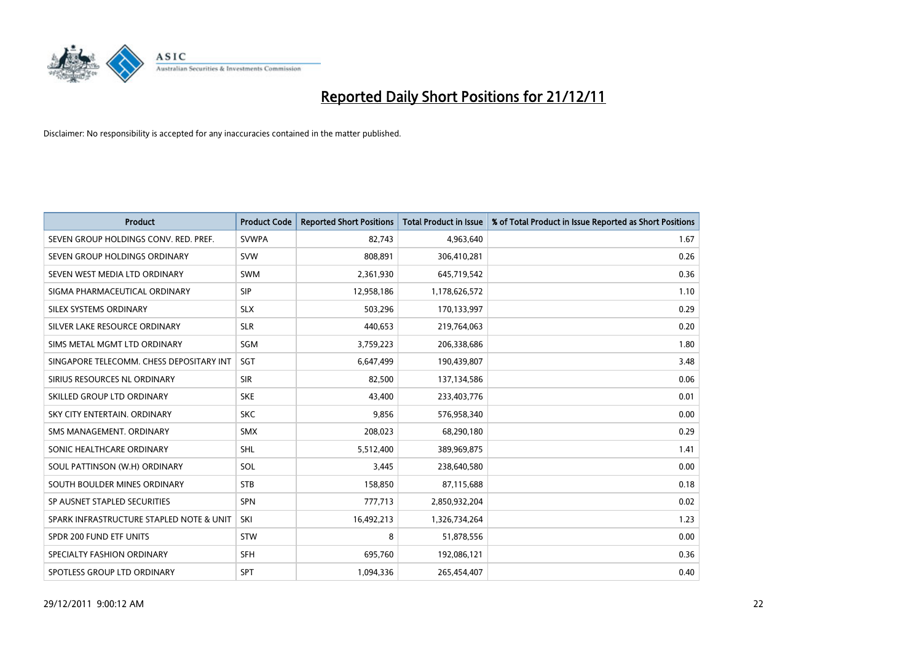

| <b>Product</b>                           | <b>Product Code</b> | <b>Reported Short Positions</b> | <b>Total Product in Issue</b> | % of Total Product in Issue Reported as Short Positions |
|------------------------------------------|---------------------|---------------------------------|-------------------------------|---------------------------------------------------------|
| SEVEN GROUP HOLDINGS CONV. RED. PREF.    | <b>SVWPA</b>        | 82,743                          | 4,963,640                     | 1.67                                                    |
| SEVEN GROUP HOLDINGS ORDINARY            | <b>SVW</b>          | 808,891                         | 306,410,281                   | 0.26                                                    |
| SEVEN WEST MEDIA LTD ORDINARY            | <b>SWM</b>          | 2,361,930                       | 645,719,542                   | 0.36                                                    |
| SIGMA PHARMACEUTICAL ORDINARY            | <b>SIP</b>          | 12,958,186                      | 1,178,626,572                 | 1.10                                                    |
| SILEX SYSTEMS ORDINARY                   | <b>SLX</b>          | 503,296                         | 170,133,997                   | 0.29                                                    |
| SILVER LAKE RESOURCE ORDINARY            | <b>SLR</b>          | 440.653                         | 219,764,063                   | 0.20                                                    |
| SIMS METAL MGMT LTD ORDINARY             | <b>SGM</b>          | 3,759,223                       | 206,338,686                   | 1.80                                                    |
| SINGAPORE TELECOMM. CHESS DEPOSITARY INT | <b>SGT</b>          | 6,647,499                       | 190,439,807                   | 3.48                                                    |
| SIRIUS RESOURCES NL ORDINARY             | <b>SIR</b>          | 82,500                          | 137,134,586                   | 0.06                                                    |
| SKILLED GROUP LTD ORDINARY               | <b>SKE</b>          | 43,400                          | 233,403,776                   | 0.01                                                    |
| SKY CITY ENTERTAIN. ORDINARY             | <b>SKC</b>          | 9,856                           | 576,958,340                   | 0.00                                                    |
| SMS MANAGEMENT, ORDINARY                 | <b>SMX</b>          | 208,023                         | 68,290,180                    | 0.29                                                    |
| SONIC HEALTHCARE ORDINARY                | <b>SHL</b>          | 5,512,400                       | 389,969,875                   | 1.41                                                    |
| SOUL PATTINSON (W.H) ORDINARY            | SOL                 | 3,445                           | 238,640,580                   | 0.00                                                    |
| SOUTH BOULDER MINES ORDINARY             | <b>STB</b>          | 158,850                         | 87,115,688                    | 0.18                                                    |
| SP AUSNET STAPLED SECURITIES             | <b>SPN</b>          | 777,713                         | 2,850,932,204                 | 0.02                                                    |
| SPARK INFRASTRUCTURE STAPLED NOTE & UNIT | SKI                 | 16,492,213                      | 1,326,734,264                 | 1.23                                                    |
| SPDR 200 FUND ETF UNITS                  | <b>STW</b>          | 8                               | 51,878,556                    | 0.00                                                    |
| SPECIALTY FASHION ORDINARY               | <b>SFH</b>          | 695,760                         | 192,086,121                   | 0.36                                                    |
| SPOTLESS GROUP LTD ORDINARY              | <b>SPT</b>          | 1,094,336                       | 265,454,407                   | 0.40                                                    |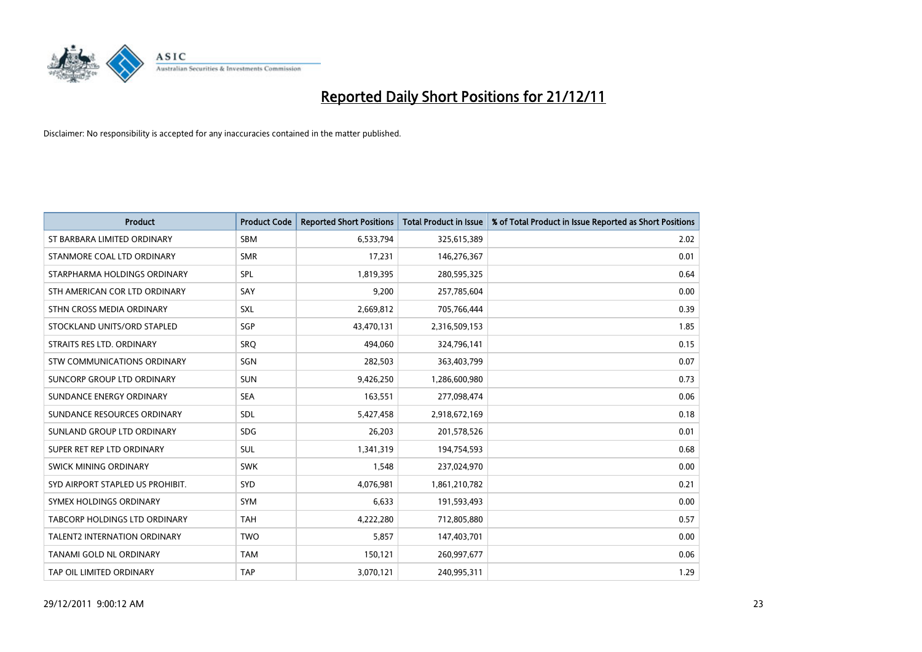

| <b>Product</b>                   | <b>Product Code</b> | <b>Reported Short Positions</b> | <b>Total Product in Issue</b> | % of Total Product in Issue Reported as Short Positions |
|----------------------------------|---------------------|---------------------------------|-------------------------------|---------------------------------------------------------|
| ST BARBARA LIMITED ORDINARY      | <b>SBM</b>          | 6,533,794                       | 325,615,389                   | 2.02                                                    |
| STANMORE COAL LTD ORDINARY       | <b>SMR</b>          | 17,231                          | 146,276,367                   | 0.01                                                    |
| STARPHARMA HOLDINGS ORDINARY     | SPL                 | 1,819,395                       | 280,595,325                   | 0.64                                                    |
| STH AMERICAN COR LTD ORDINARY    | SAY                 | 9,200                           | 257,785,604                   | 0.00                                                    |
| STHN CROSS MEDIA ORDINARY        | SXL                 | 2,669,812                       | 705,766,444                   | 0.39                                                    |
| STOCKLAND UNITS/ORD STAPLED      | SGP                 | 43,470,131                      | 2,316,509,153                 | 1.85                                                    |
| STRAITS RES LTD. ORDINARY        | <b>SRQ</b>          | 494,060                         | 324,796,141                   | 0.15                                                    |
| STW COMMUNICATIONS ORDINARY      | SGN                 | 282,503                         | 363,403,799                   | 0.07                                                    |
| SUNCORP GROUP LTD ORDINARY       | <b>SUN</b>          | 9,426,250                       | 1,286,600,980                 | 0.73                                                    |
| SUNDANCE ENERGY ORDINARY         | <b>SEA</b>          | 163,551                         | 277,098,474                   | 0.06                                                    |
| SUNDANCE RESOURCES ORDINARY      | <b>SDL</b>          | 5,427,458                       | 2,918,672,169                 | 0.18                                                    |
| SUNLAND GROUP LTD ORDINARY       | <b>SDG</b>          | 26,203                          | 201,578,526                   | 0.01                                                    |
| SUPER RET REP LTD ORDINARY       | <b>SUL</b>          | 1,341,319                       | 194,754,593                   | 0.68                                                    |
| SWICK MINING ORDINARY            | <b>SWK</b>          | 1,548                           | 237,024,970                   | 0.00                                                    |
| SYD AIRPORT STAPLED US PROHIBIT. | SYD                 | 4,076,981                       | 1,861,210,782                 | 0.21                                                    |
| SYMEX HOLDINGS ORDINARY          | <b>SYM</b>          | 6,633                           | 191,593,493                   | 0.00                                                    |
| TABCORP HOLDINGS LTD ORDINARY    | <b>TAH</b>          | 4,222,280                       | 712,805,880                   | 0.57                                                    |
| TALENT2 INTERNATION ORDINARY     | <b>TWO</b>          | 5,857                           | 147,403,701                   | 0.00                                                    |
| TANAMI GOLD NL ORDINARY          | <b>TAM</b>          | 150,121                         | 260,997,677                   | 0.06                                                    |
| TAP OIL LIMITED ORDINARY         | <b>TAP</b>          | 3,070,121                       | 240,995,311                   | 1.29                                                    |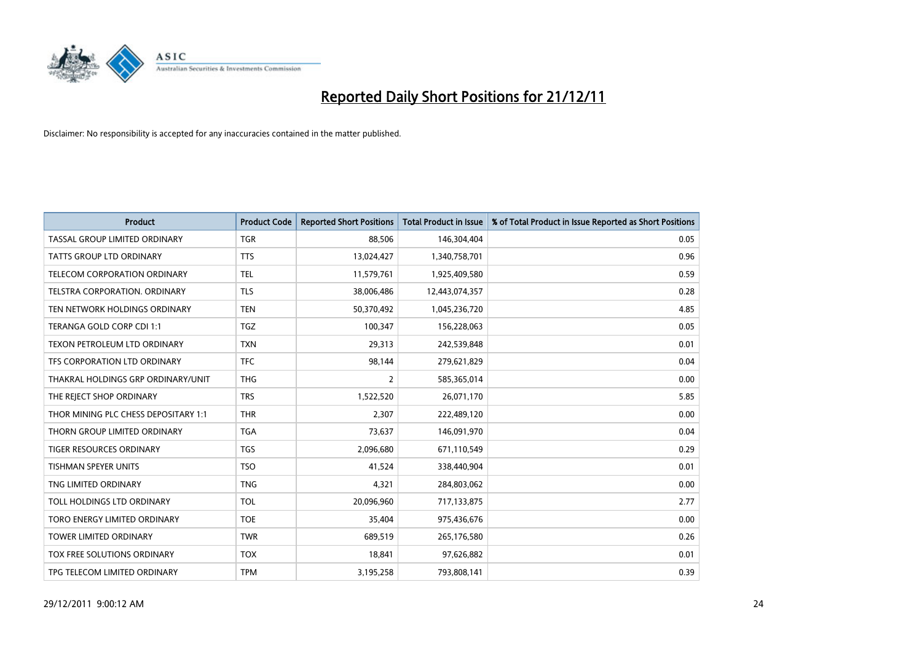

| <b>Product</b>                       | <b>Product Code</b> | <b>Reported Short Positions</b> | <b>Total Product in Issue</b> | % of Total Product in Issue Reported as Short Positions |
|--------------------------------------|---------------------|---------------------------------|-------------------------------|---------------------------------------------------------|
| TASSAL GROUP LIMITED ORDINARY        | <b>TGR</b>          | 88,506                          | 146,304,404                   | 0.05                                                    |
| TATTS GROUP LTD ORDINARY             | <b>TTS</b>          | 13,024,427                      | 1,340,758,701                 | 0.96                                                    |
| TELECOM CORPORATION ORDINARY         | <b>TEL</b>          | 11,579,761                      | 1,925,409,580                 | 0.59                                                    |
| TELSTRA CORPORATION. ORDINARY        | <b>TLS</b>          | 38,006,486                      | 12,443,074,357                | 0.28                                                    |
| TEN NETWORK HOLDINGS ORDINARY        | <b>TEN</b>          | 50,370,492                      | 1,045,236,720                 | 4.85                                                    |
| TERANGA GOLD CORP CDI 1:1            | <b>TGZ</b>          | 100,347                         | 156,228,063                   | 0.05                                                    |
| TEXON PETROLEUM LTD ORDINARY         | <b>TXN</b>          | 29,313                          | 242,539,848                   | 0.01                                                    |
| TFS CORPORATION LTD ORDINARY         | <b>TFC</b>          | 98,144                          | 279,621,829                   | 0.04                                                    |
| THAKRAL HOLDINGS GRP ORDINARY/UNIT   | <b>THG</b>          | 2                               | 585,365,014                   | 0.00                                                    |
| THE REJECT SHOP ORDINARY             | <b>TRS</b>          | 1,522,520                       | 26,071,170                    | 5.85                                                    |
| THOR MINING PLC CHESS DEPOSITARY 1:1 | <b>THR</b>          | 2,307                           | 222,489,120                   | 0.00                                                    |
| THORN GROUP LIMITED ORDINARY         | <b>TGA</b>          | 73,637                          | 146,091,970                   | 0.04                                                    |
| TIGER RESOURCES ORDINARY             | <b>TGS</b>          | 2,096,680                       | 671,110,549                   | 0.29                                                    |
| <b>TISHMAN SPEYER UNITS</b>          | <b>TSO</b>          | 41,524                          | 338,440,904                   | 0.01                                                    |
| TNG LIMITED ORDINARY                 | <b>TNG</b>          | 4,321                           | 284,803,062                   | 0.00                                                    |
| TOLL HOLDINGS LTD ORDINARY           | <b>TOL</b>          | 20,096,960                      | 717,133,875                   | 2.77                                                    |
| TORO ENERGY LIMITED ORDINARY         | <b>TOE</b>          | 35,404                          | 975,436,676                   | 0.00                                                    |
| <b>TOWER LIMITED ORDINARY</b>        | <b>TWR</b>          | 689,519                         | 265,176,580                   | 0.26                                                    |
| TOX FREE SOLUTIONS ORDINARY          | <b>TOX</b>          | 18,841                          | 97,626,882                    | 0.01                                                    |
| TPG TELECOM LIMITED ORDINARY         | <b>TPM</b>          | 3,195,258                       | 793,808,141                   | 0.39                                                    |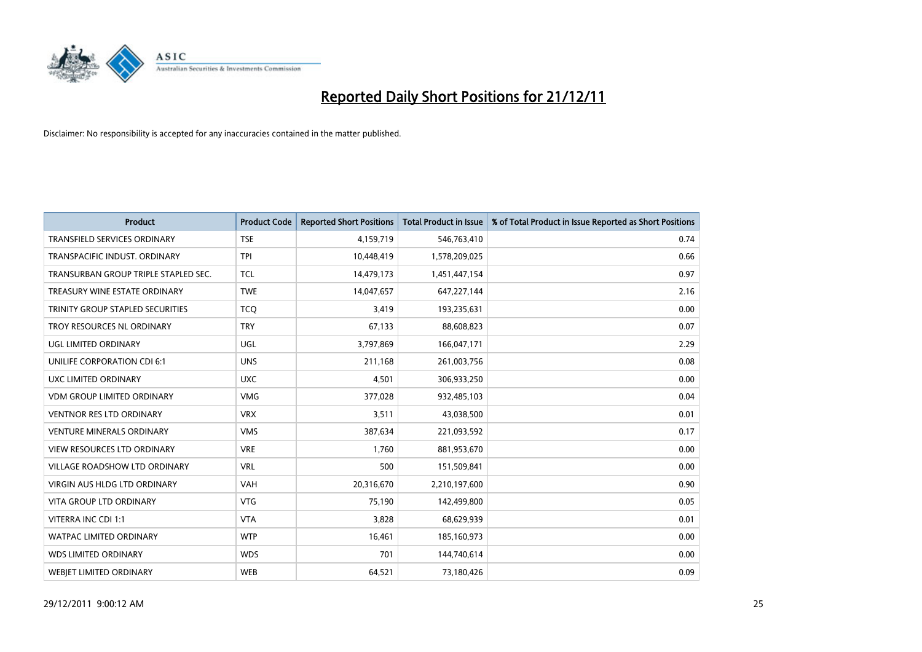

| <b>Product</b>                          | <b>Product Code</b> | <b>Reported Short Positions</b> | Total Product in Issue | % of Total Product in Issue Reported as Short Positions |
|-----------------------------------------|---------------------|---------------------------------|------------------------|---------------------------------------------------------|
| <b>TRANSFIELD SERVICES ORDINARY</b>     | <b>TSE</b>          | 4,159,719                       | 546,763,410            | 0.74                                                    |
| TRANSPACIFIC INDUST, ORDINARY           | <b>TPI</b>          | 10,448,419                      | 1,578,209,025          | 0.66                                                    |
| TRANSURBAN GROUP TRIPLE STAPLED SEC.    | <b>TCL</b>          | 14,479,173                      | 1,451,447,154          | 0.97                                                    |
| TREASURY WINE ESTATE ORDINARY           | <b>TWE</b>          | 14,047,657                      | 647,227,144            | 2.16                                                    |
| <b>TRINITY GROUP STAPLED SECURITIES</b> | <b>TCO</b>          | 3,419                           | 193,235,631            | 0.00                                                    |
| TROY RESOURCES NL ORDINARY              | <b>TRY</b>          | 67,133                          | 88,608,823             | 0.07                                                    |
| UGL LIMITED ORDINARY                    | UGL                 | 3,797,869                       | 166,047,171            | 2.29                                                    |
| UNILIFE CORPORATION CDI 6:1             | <b>UNS</b>          | 211,168                         | 261,003,756            | 0.08                                                    |
| UXC LIMITED ORDINARY                    | <b>UXC</b>          | 4,501                           | 306,933,250            | 0.00                                                    |
| <b>VDM GROUP LIMITED ORDINARY</b>       | <b>VMG</b>          | 377,028                         | 932,485,103            | 0.04                                                    |
| <b>VENTNOR RES LTD ORDINARY</b>         | <b>VRX</b>          | 3,511                           | 43,038,500             | 0.01                                                    |
| <b>VENTURE MINERALS ORDINARY</b>        | <b>VMS</b>          | 387,634                         | 221,093,592            | 0.17                                                    |
| <b>VIEW RESOURCES LTD ORDINARY</b>      | <b>VRE</b>          | 1.760                           | 881,953,670            | 0.00                                                    |
| <b>VILLAGE ROADSHOW LTD ORDINARY</b>    | <b>VRL</b>          | 500                             | 151,509,841            | 0.00                                                    |
| <b>VIRGIN AUS HLDG LTD ORDINARY</b>     | <b>VAH</b>          | 20,316,670                      | 2,210,197,600          | 0.90                                                    |
| <b>VITA GROUP LTD ORDINARY</b>          | <b>VTG</b>          | 75,190                          | 142,499,800            | 0.05                                                    |
| VITERRA INC CDI 1:1                     | <b>VTA</b>          | 3,828                           | 68,629,939             | 0.01                                                    |
| <b>WATPAC LIMITED ORDINARY</b>          | <b>WTP</b>          | 16,461                          | 185,160,973            | 0.00                                                    |
| <b>WDS LIMITED ORDINARY</b>             | <b>WDS</b>          | 701                             | 144,740,614            | 0.00                                                    |
| <b>WEBIET LIMITED ORDINARY</b>          | <b>WEB</b>          | 64,521                          | 73,180,426             | 0.09                                                    |